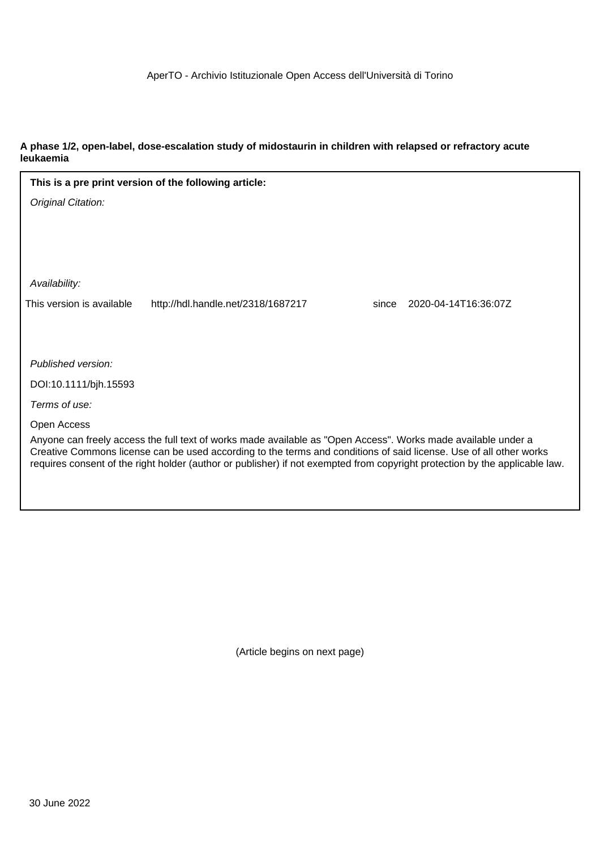### **A phase 1/2, open-label, dose-escalation study of midostaurin in children with relapsed or refractory acute leukaemia**

|                           | This is a pre print version of the following article:                                                                                                                                                                                                                                                                                                              |       |                      |
|---------------------------|--------------------------------------------------------------------------------------------------------------------------------------------------------------------------------------------------------------------------------------------------------------------------------------------------------------------------------------------------------------------|-------|----------------------|
| Original Citation:        |                                                                                                                                                                                                                                                                                                                                                                    |       |                      |
|                           |                                                                                                                                                                                                                                                                                                                                                                    |       |                      |
|                           |                                                                                                                                                                                                                                                                                                                                                                    |       |                      |
|                           |                                                                                                                                                                                                                                                                                                                                                                    |       |                      |
| Availability:             |                                                                                                                                                                                                                                                                                                                                                                    |       |                      |
| This version is available | http://hdl.handle.net/2318/1687217                                                                                                                                                                                                                                                                                                                                 | since | 2020-04-14T16:36:07Z |
|                           |                                                                                                                                                                                                                                                                                                                                                                    |       |                      |
|                           |                                                                                                                                                                                                                                                                                                                                                                    |       |                      |
| Published version:        |                                                                                                                                                                                                                                                                                                                                                                    |       |                      |
| DOI:10.1111/bjh.15593     |                                                                                                                                                                                                                                                                                                                                                                    |       |                      |
| Terms of use:             |                                                                                                                                                                                                                                                                                                                                                                    |       |                      |
| Open Access               |                                                                                                                                                                                                                                                                                                                                                                    |       |                      |
|                           | Anyone can freely access the full text of works made available as "Open Access". Works made available under a<br>Creative Commons license can be used according to the terms and conditions of said license. Use of all other works<br>requires consent of the right holder (author or publisher) if not exempted from copyright protection by the applicable law. |       |                      |
|                           |                                                                                                                                                                                                                                                                                                                                                                    |       |                      |

(Article begins on next page)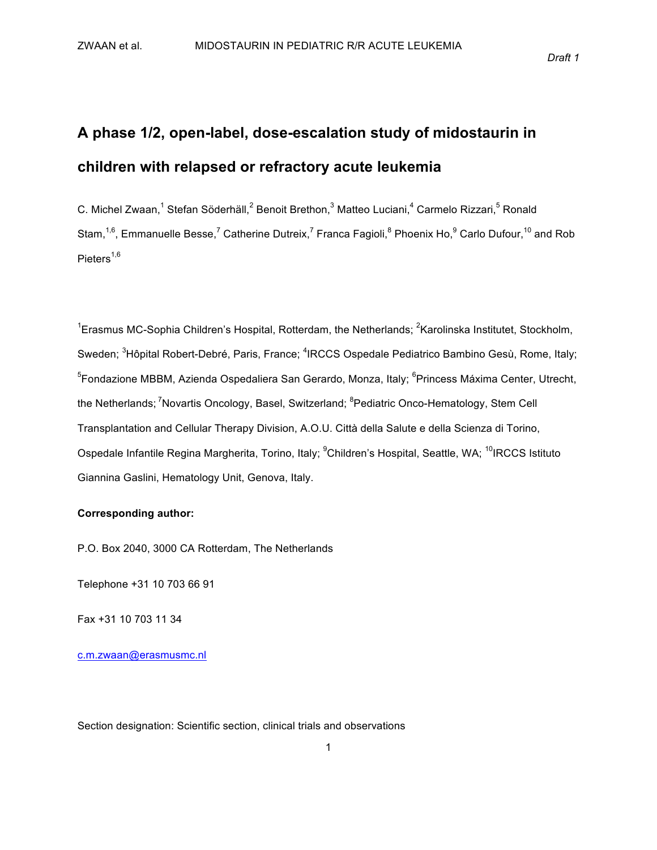*Draft&1*

# A phase 1/2, open-label, dose-escalation study of midostaurin in **children!with!relapsed!or!refractory!acute!leukemia**

C. Michel Zwaan,<sup>1</sup> Stefan Söderhäll,<sup>2</sup> Benoit Brethon,<sup>3</sup> Matteo Luciani,<sup>4</sup> Carmelo Rizzari,<sup>5</sup> Ronald Stam,<sup>1,6</sup>, Emmanuelle Besse,<sup>7</sup> Catherine Dutreix,<sup>7</sup> Franca Fagioli,<sup>8</sup> Phoenix Ho,<sup>9</sup> Carlo Dufour,<sup>10</sup> and Rob Pieters $1,6$ 

<sup>1</sup>Erasmus MC-Sophia Children's Hospital, Rotterdam, the Netherlands; <sup>2</sup>Karolinska Institutet, Stockholm, Sweden; <sup>3</sup>Hôpital Robert-Debré, Paris, France; <sup>4</sup>IRCCS Ospedale Pediatrico Bambino Gesù, Rome, Italy; <sup>5</sup>Fondazione MBBM, Azienda Ospedaliera San Gerardo, Monza, Italy; <sup>6</sup>Princess Máxima Center, Utrecht, the Netherlands; <sup>7</sup>Novartis Oncology, Basel, Switzerland; <sup>8</sup>Pediatric Onco-Hematology, Stem Cell Transplantation and Cellular Therapy Division, A.O.U. Città della Salute e della Scienza di Torino, Ospedale Infantile Regina Margherita, Torino, Italy; <sup>9</sup>Children's Hospital, Seattle, WA; <sup>10</sup>IRCCS Istituto Giannina Gaslini, Hematology Unit, Genova, Italy.

#### **Corresponding author:**

P.O. Box 2040, 3000 CA Rotterdam, The Netherlands

Telephone +31 10 703 66 91

Fax +31 10 703 11 34

c.m.zwaan@erasmusmc.nl

Section designation: Scientific section, clinical trials and observations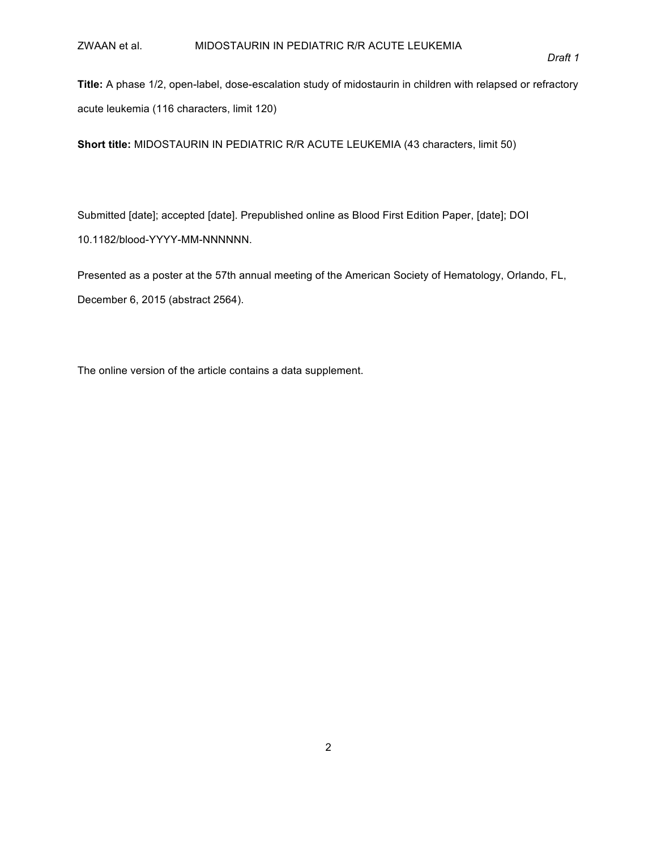Title: A phase 1/2, open-label, dose-escalation study of midostaurin in children with relapsed or refractory acute leukemia (116 characters, limit 120)

**Short title: MIDOSTAURIN IN PEDIATRIC R/R ACUTE LEUKEMIA (43 characters, limit 50)** 

Submitted [date]; accepted [date]. Prepublished online as Blood First Edition Paper, [date]; DOI 10.1182/blood-YYYY-MM-NNNNNNN.

Presented as a poster at the 57th annual meeting of the American Society of Hematology, Orlando, FL, December 6, 2015 (abstract 2564).

The online version of the article contains a data supplement.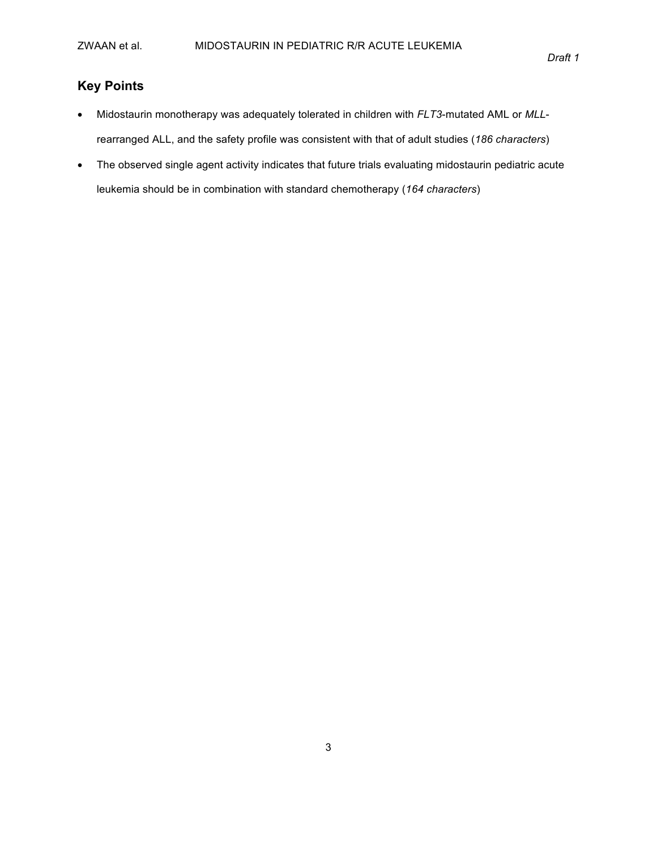### **Key!Points**

- Midostaurin monotherapy was adequately tolerated in children with *FLT3*-mutated AML or *MLL*rearranged ALL, and the safety profile was consistent with that of adult studies (186 *characters*)
- The observed single agent activity indicates that future trials evaluating midostaurin pediatric acute leukemia should be in combination with standard chemotherapy (164 *characters*)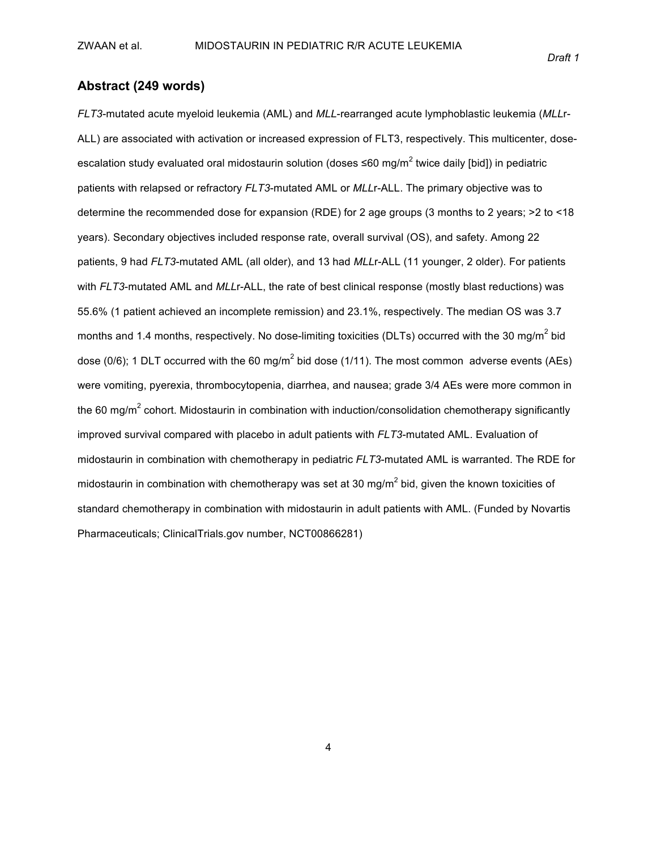### **Abstract (249!words)**

*FLT3*-mutated acute myeloid leukemia (AML) and *MLL*-rearranged acute lymphoblastic leukemia (*MLL*r-ALL) are associated with activation or increased expression of FLT3, respectively. This multicenter, doseescalation study evaluated oral midostaurin solution (doses ≤60 mg/m<sup>2</sup> twice daily [bid]) in pediatric patients with relapsed or refractory *FLT3*-mutated AML or *MLL*r-ALL. The primary objective was to determine the recommended dose for expansion (RDE) for 2 age groups (3 months to 2 years;  $>2$  to <18 years). Secondary objectives included response rate, overall survival (OS), and safety. Among 22 patients, 9 had *FLT3*-mutated AML (all older), and 13 had *MLL*r-ALL (11 younger, 2 older). For patients with *FLT3*-mutated AML and *MLL*r-ALL, the rate of best clinical response (mostly blast reductions) was 55.6% (1 patient achieved an incomplete remission) and 23.1%, respectively. The median OS was 3.7 months and 1.4 months, respectively. No dose-limiting toxicities (DLTs) occurred with the 30 mg/m<sup>2</sup> bid dose (0/6); 1 DLT occurred with the 60 mg/m<sup>2</sup> bid dose (1/11). The most common adverse events (AEs) were vomiting, pyerexia, thrombocytopenia, diarrhea, and nausea; grade 3/4 AEs were more common in the 60 mg/m<sup>2</sup> cohort. Midostaurin in combination with induction/consolidation chemotherapy significantly improved survival compared with placebo in adult patients with *FLT3*-mutated AML. Evaluation of midostaurin in combination with chemotherapy in pediatric *FLT3*-mutated AML is warranted. The RDE for midostaurin in combination with chemotherapy was set at 30 mg/m<sup>2</sup> bid, given the known toxicities of standard chemotherapy in combination with midostaurin in adult patients with AML. (Funded by Novartis Pharmaceuticals; ClinicalTrials.gov number, NCT00866281)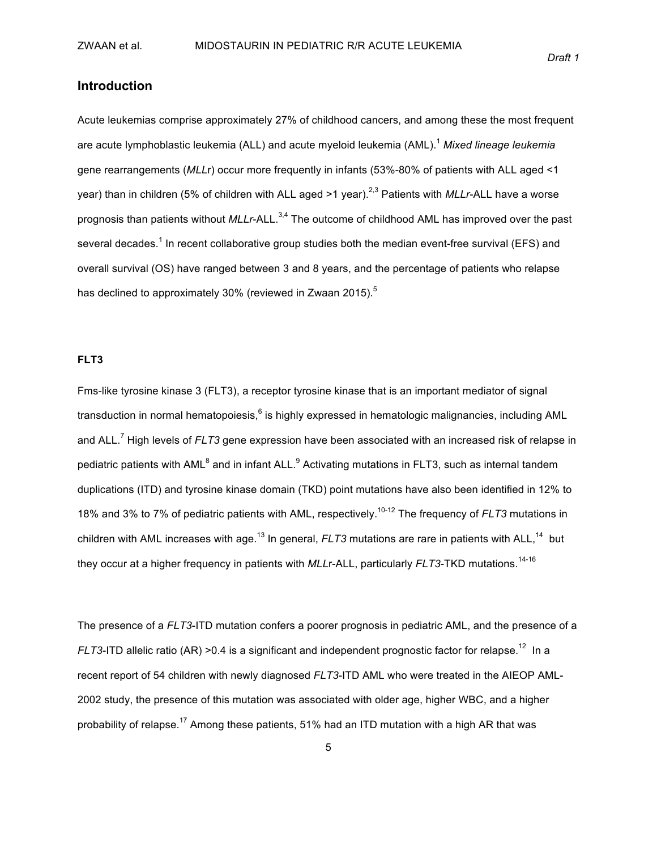### **Introduction**

Acute leukemias comprise approximately 27% of childhood cancers, and among these the most frequent are acute lymphoblastic leukemia (ALL) and acute myeloid leukemia (AML).<sup>1</sup> *Mixed lineage leukemia* gene rearrangements (*MLLr*) occur more frequently in infants (53%-80% of patients with ALL aged <1 year) than in children (5% of children with ALL aged >1 year).<sup>2,3</sup> Patients with *MLLr*-ALL have a worse prognosis than patients without *MLLr*-ALL.<sup>3,4</sup> The outcome of childhood AML has improved over the past several decades.<sup>1</sup> In recent collaborative group studies both the median event-free survival (EFS) and overall survival (OS) have ranged between 3 and 8 years, and the percentage of patients who relapse has declined to approximately 30% (reviewed in Zwaan 2015).<sup>5</sup>

#### **FLT3**

Fms-like tyrosine kinase 3 (FLT3), a receptor tyrosine kinase that is an important mediator of signal transduction in normal hematopoiesis,<sup>6</sup> is highly expressed in hematologic malignancies, including AML and ALL.<sup>7</sup> High levels of *FLT3* gene expression have been associated with an increased risk of relapse in pediatric patients with AML $^8$  and in infant ALL. $^9$  Activating mutations in FLT3, such as internal tandem duplications (ITD) and tyrosine kinase domain (TKD) point mutations have also been identified in 12% to 18% and 3% to 7% of pediatric patients with AML, respectively.<sup>10-12</sup> The frequency of *FLT3* mutations in children with AML increases with age.<sup>13</sup> In general, *FLT3* mutations are rare in patients with ALL,<sup>14</sup> but they occur at a higher frequency in patients with *MLL*r-ALL, particularly *FLT3*-TKD mutations.<sup>14-16</sup>

The presence of a *FLT3*-ITD mutation confers a poorer prognosis in pediatric AML, and the presence of a *FLT3*-ITD allelic ratio (AR) >0.4 is a significant and independent prognostic factor for relapse.<sup>12</sup> In a recent report of 54 children with newly diagnosed *FLT3*-ITD AML who were treated in the AIEOP AML-2002 study, the presence of this mutation was associated with older age, higher WBC, and a higher probability of relapse.<sup>17</sup> Among these patients, 51% had an ITD mutation with a high AR that was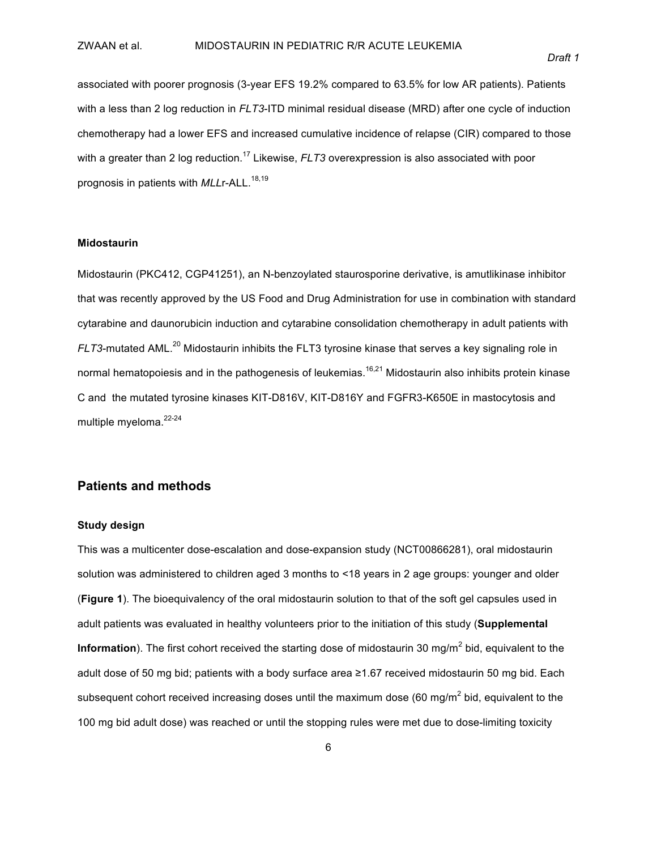associated with poorer prognosis (3-year EFS 19.2% compared to 63.5% for low AR patients). Patients with a less than 2 log reduction in *FLT3*-ITD minimal residual disease (MRD) after one cycle of induction chemotherapy had a lower EFS and increased cumulative incidence of relapse (CIR) compared to those with a greater than 2 log reduction.<sup>17</sup> Likewise, *FLT3* overexpression is also associated with poor prognosis in patients with *MLL*r-ALL.<sup>18,19</sup>

#### **Midostaurin**

Midostaurin (PKC412, CGP41251), an N-benzoylated staurosporine derivative, is amutlikinase inhibitor that was recently approved by the US Food and Drug Administration for use in combination with standard cytarabine and daunorubicin induction and cytarabine consolidation chemotherapy in adult patients with  $FLT3$ -mutated AML.<sup>20</sup> Midostaurin inhibits the FLT3 tyrosine kinase that serves a key signaling role in normal hematopoiesis and in the pathogenesis of leukemias. $^{16,21}$  Midostaurin also inhibits protein kinase C and the mutated tyrosine kinases KIT-D816V, KIT-D816Y and FGFR3-K650E in mastocytosis and multiple myeloma. 22-24

### **Patients and!methods**

#### **Study design**

This was a multicenter dose-escalation and dose-expansion study (NCT00866281), oral midostaurin solution was administered to children aged 3 months to <18 years in 2 age groups: younger and older (Figure 1). The bioequivalency of the oral midostaurin solution to that of the soft gel capsules used in adult patients was evaluated in healthy volunteers prior to the initiation of this study (**Supplemental Information**). The first cohort received the starting dose of midostaurin 30 mg/m<sup>2</sup> bid, equivalent to the adult dose of 50 mg bid; patients with a body surface area ≥1.67 received midostaurin 50 mg bid. Each subsequent cohort received increasing doses until the maximum dose (60 mg/m<sup>2</sup> bid, equivalent to the 100 mg bid adult dose) was reached or until the stopping rules were met due to dose-limiting toxicity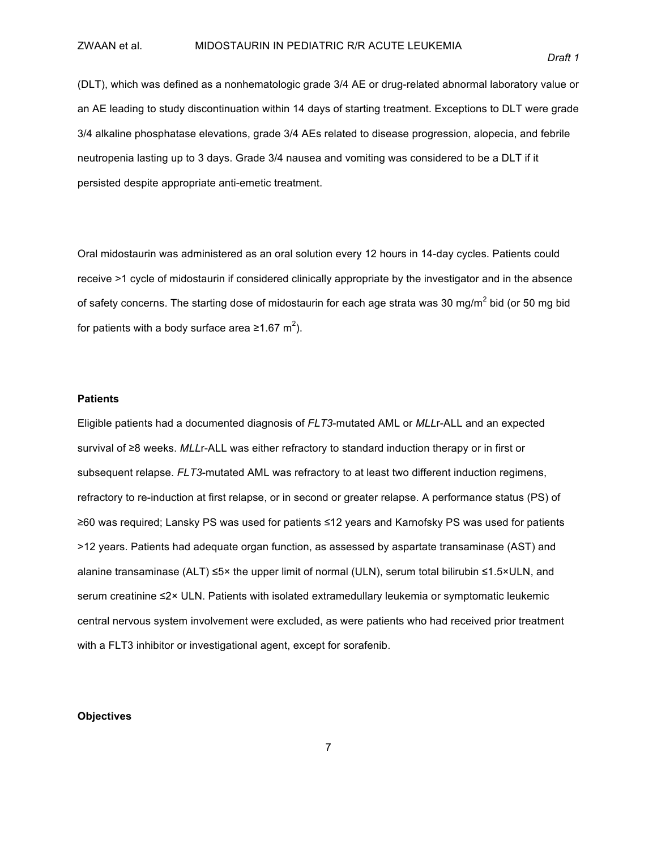(DLT), which was defined as a nonhematologic grade 3/4 AE or drug-related abnormal laboratory value or an AE leading to study discontinuation within 14 days of starting treatment. Exceptions to DLT were grade 3/4 alkaline phosphatase elevations, grade 3/4 AEs related to disease progression, alopecia, and febrile neutropenia lasting up to 3 days. Grade 3/4 nausea and vomiting was considered to be a DLT if it persisted despite appropriate anti-emetic treatment.

Oral midostaurin was administered as an oral solution every 12 hours in 14-day cycles. Patients could receive >1 cycle of midostaurin if considered clinically appropriate by the investigator and in the absence of safety concerns. The starting dose of midostaurin for each age strata was 30 mg/m<sup>2</sup> bid (or 50 mg bid for patients with a body surface area ≥1.67 m<sup>2</sup>).

#### **Patients**

Eligible patients had a documented diagnosis of *FLT3*-mutated AML or *MLLr*-ALL and an expected survival of ≥8 weeks. MLLr-ALL was either refractory to standard induction therapy or in first or subsequent relapse. *FLT3*-mutated AML was refractory to at least two different induction regimens, refractory to re-induction at first relapse, or in second or greater relapse. A performance status (PS) of ≥60 was required; Lansky PS was used for patients ≤12 years and Karnofsky PS was used for patients >12 years. Patients had adequate organ function, as assessed by aspartate transaminase (AST) and alanine transaminase (ALT) ≤5× the upper limit of normal (ULN), serum total bilirubin ≤1.5×ULN, and serum creatinine ≤2× ULN. Patients with isolated extramedullary leukemia or symptomatic leukemic central nervous system involvement were excluded, as were patients who had received prior treatment with a FLT3 inhibitor or investigational agent, except for sorafenib.

#### **Objectives**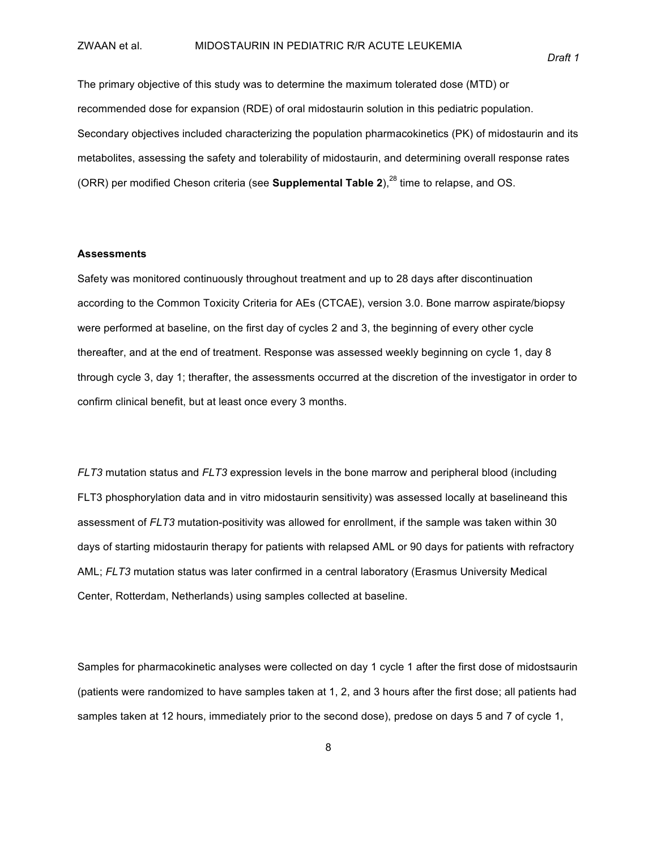The primary objective of this study was to determine the maximum tolerated dose (MTD) or recommended dose for expansion (RDE) of oral midostaurin solution in this pediatric population. Secondary objectives included characterizing the population pharmacokinetics (PK) of midostaurin and its metabolites, assessing the safety and tolerability of midostaurin, and determining overall response rates (ORR) per modified Cheson criteria (see **Supplemental Table 2**),<sup>28</sup> time to relapse, and OS.

#### **Assessments**

Safety was monitored continuously throughout treatment and up to 28 days after discontinuation according to the Common Toxicity Criteria for AEs (CTCAE), version 3.0. Bone marrow aspirate/biopsy were performed at baseline, on the first day of cycles 2 and 3, the beginning of every other cycle thereafter, and at the end of treatment. Response was assessed weekly beginning on cycle 1, day 8 through cycle 3, day 1; therafter, the assessments occurred at the discretion of the investigator in order to confirm clinical benefit, but at least once every 3 months.

*FLT3* mutation status and *FLT3* expression levels in the bone marrow and peripheral blood (including FLT3 phosphorylation data and in vitro midostaurin sensitivity) was assessed locally at baselineand this assessment of *FLT3* mutation-positivity was allowed for enrollment, if the sample was taken within 30 days of starting midostaurin therapy for patients with relapsed AML or 90 days for patients with refractory AML; *FLT3* mutation status was later confirmed in a central laboratory (Erasmus University Medical Center, Rotterdam, Netherlands) using samples collected at baseline.

Samples for pharmacokinetic analyses were collected on day 1 cycle 1 after the first dose of midostsaurin (patients were randomized to have samples taken at 1, 2, and 3 hours after the first dose; all patients had samples taken at 12 hours, immediately prior to the second dose), predose on days 5 and 7 of cycle 1,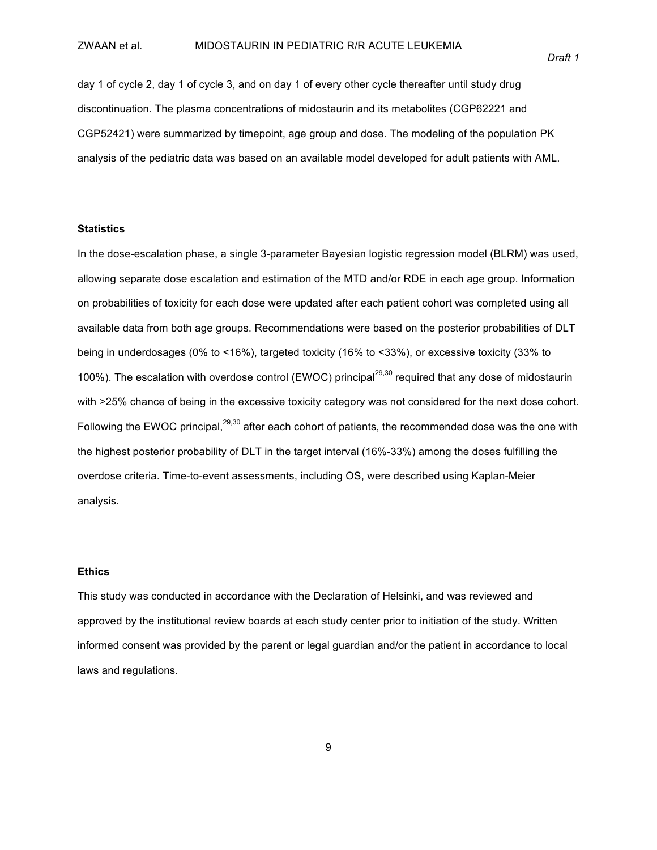day 1 of cycle 2, day 1 of cycle 3, and on day 1 of every other cycle thereafter until study drug discontinuation. The plasma concentrations of midostaurin and its metabolites (CGP62221 and CGP52421) were summarized by timepoint, age group and dose. The modeling of the population PK analysis of the pediatric data was based on an available model developed for adult patients with AML.

#### **Statistics**

In the dose-escalation phase, a single 3-parameter Bayesian logistic regression model (BLRM) was used, allowing separate dose escalation and estimation of the MTD and/or RDE in each age group. Information on probabilities of toxicity for each dose were updated after each patient cohort was completed using all available data from both age groups. Recommendations were based on the posterior probabilities of DLT being in underdosages (0% to <16%), targeted toxicity (16% to <33%), or excessive toxicity (33% to 100%). The escalation with overdose control (EWOC) principal<sup>29,30</sup> required that any dose of midostaurin with >25% chance of being in the excessive toxicity category was not considered for the next dose cohort. Following the EWOC principal, $29,30$  after each cohort of patients, the recommended dose was the one with the highest posterior probability of DLT in the target interval (16%-33%) among the doses fulfilling the overdose criteria. Time-to-event assessments, including OS, were described using Kaplan-Meier analysis.

#### **Ethics**

This study was conducted in accordance with the Declaration of Helsinki, and was reviewed and approved by the institutional review boards at each study center prior to initiation of the study. Written informed consent was provided by the parent or legal guardian and/or the patient in accordance to local laws and regulations.

9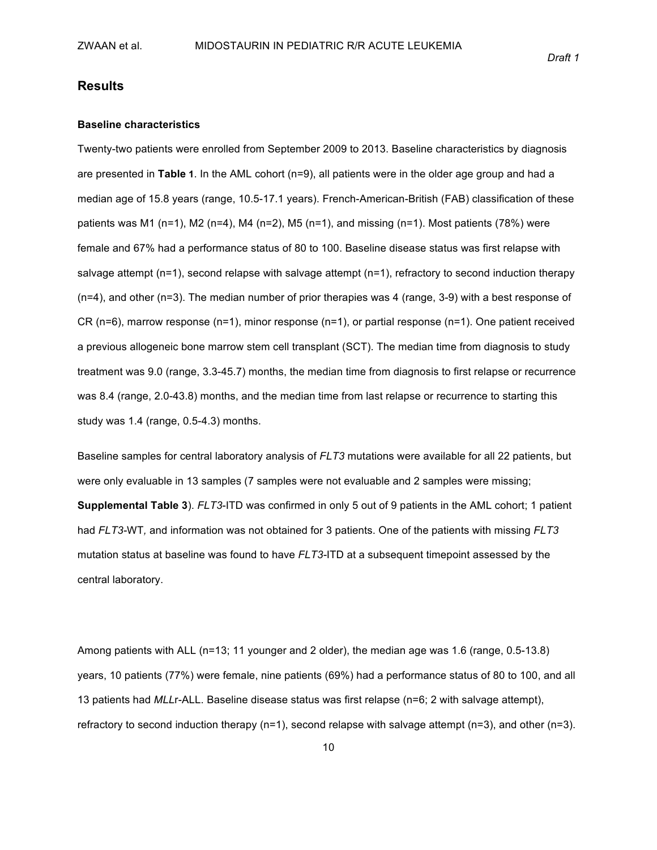#### **Results**

#### **Baseline characteristics**

Twenty-two patients were enrolled from September 2009 to 2013. Baseline characteristics by diagnosis are presented in Table 1. In the AML cohort (n=9), all patients were in the older age group and had a median age of 15.8 years (range, 10.5-17.1 years). French-American-British (FAB) classification of these patients was M1 (n=1), M2 (n=4), M4 (n=2), M5 (n=1), and missing (n=1). Most patients (78%) were female and 67% had a performance status of 80 to 100. Baseline disease status was first relapse with salvage attempt (n=1), second relapse with salvage attempt (n=1), refractory to second induction therapy (n=4), and other (n=3). The median number of prior therapies was 4 (range, 3-9) with a best response of CR (n=6), marrow response (n=1), minor response (n=1), or partial response (n=1). One patient received a previous allogeneic bone marrow stem cell transplant (SCT). The median time from diagnosis to study treatment was 9.0 (range, 3.3-45.7) months, the median time from diagnosis to first relapse or recurrence was 8.4 (range, 2.0-43.8) months, and the median time from last relapse or recurrence to starting this study was  $1.4$  (range,  $0.5-4.3$ ) months.

Baseline samples for central laboratory analysis of *FLT3* mutations were available for all 22 patients, but were only evaluable in 13 samples (7 samples were not evaluable and 2 samples were missing; **Supplemental Table 3**). *FLT3*-ITD was confirmed in only 5 out of 9 patients in the AML cohort; 1 patient had *FLT3*-WT, and information was not obtained for 3 patients. One of the patients with missing *FLT3* mutation status at baseline was found to have *FLT3*-ITD at a subsequent timepoint assessed by the central laboratory.

Among patients with ALL (n=13; 11 younger and 2 older), the median age was 1.6 (range, 0.5-13.8) years, 10 patients (77%) were female, nine patients (69%) had a performance status of 80 to 100, and all 13 patients had *MLL*r-ALL. Baseline disease status was first relapse (n=6; 2 with salvage attempt), refractory to second induction therapy (n=1), second relapse with salvage attempt (n=3), and other (n=3).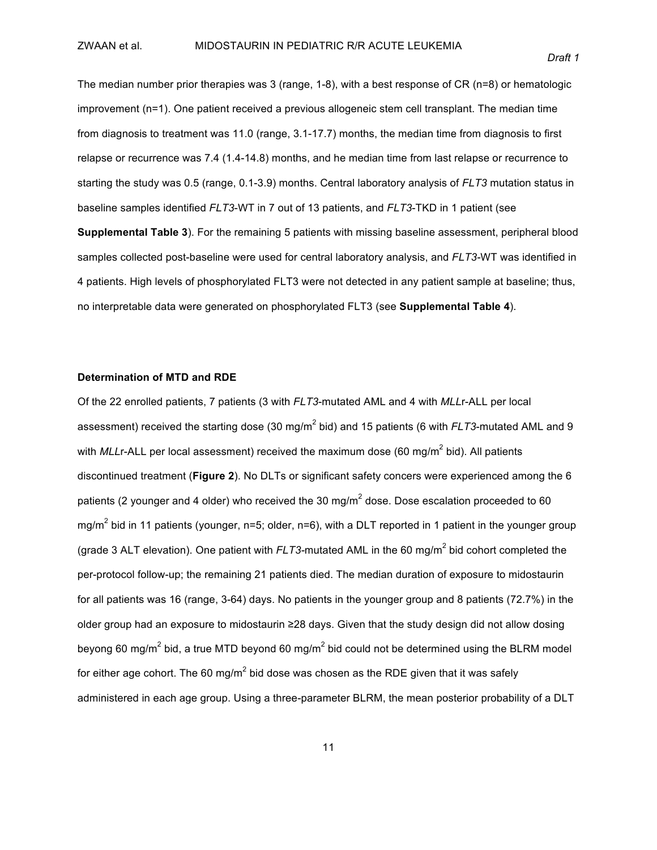The median number prior therapies was 3 (range, 1-8), with a best response of CR (n=8) or hematologic improvement (n=1). One patient received a previous allogeneic stem cell transplant. The median time from diagnosis to treatment was 11.0 (range,  $3.1-17.7$ ) months, the median time from diagnosis to first relapse or recurrence was 7.4 (1.4-14.8) months, and he median time from last relapse or recurrence to starting the study was 0.5 (range, 0.1-3.9) months. Central laboratory analysis of *FLT3* mutation status in baseline samples identified *FLT3*-WT in 7 out of 13 patients, and *FLT3*-TKD in 1 patient (see **Supplemental Table 3**). For the remaining 5 patients with missing baseline assessment, peripheral blood samples collected post-baseline were used for central laboratory analysis, and *FLT3-WT* was identified in 4 patients. High levels of phosphorylated FLT3 were not detected in any patient sample at baseline; thus, no interpretable data were generated on phosphorylated FLT3 (see **Supplemental Table 4**).

#### **Determination of MTD and RDE**

Of the 22 enrolled patients, 7 patients (3 with *FLT3*-mutated AML and 4 with *MLLr-ALL* per local assessment) received the starting dose (30 mg/m<sup>2</sup> bid) and 15 patients (6 with *FLT3*-mutated AML and 9 with *MLL*r-ALL per local assessment) received the maximum dose (60 mg/m<sup>2</sup> bid). All patients discontinued treatment (**Figure 2**). No DLTs or significant safety concers were experienced among the 6 patients (2 younger and 4 older) who received the 30 mg/m<sup>2</sup> dose. Dose escalation proceeded to 60 mg/m<sup>2</sup> bid in 11 patients (younger, n=5; older, n=6), with a DLT reported in 1 patient in the younger group (grade 3 ALT elevation). One patient with *FLT3*-mutated AML in the 60 mg/m<sup>2</sup> bid cohort completed the per-protocol follow-up; the remaining 21 patients died. The median duration of exposure to midostaurin for all patients was 16 (range, 3-64) days. No patients in the younger group and 8 patients (72.7%) in the older group had an exposure to midostaurin ≥28 days. Given that the study design did not allow dosing beyong 60 mg/m<sup>2</sup> bid, a true MTD beyond 60 mg/m<sup>2</sup> bid could not be determined using the BLRM model for either age cohort. The 60 mg/m<sup>2</sup> bid dose was chosen as the RDE given that it was safely administered in each age group. Using a three-parameter BLRM, the mean posterior probability of a DLT

11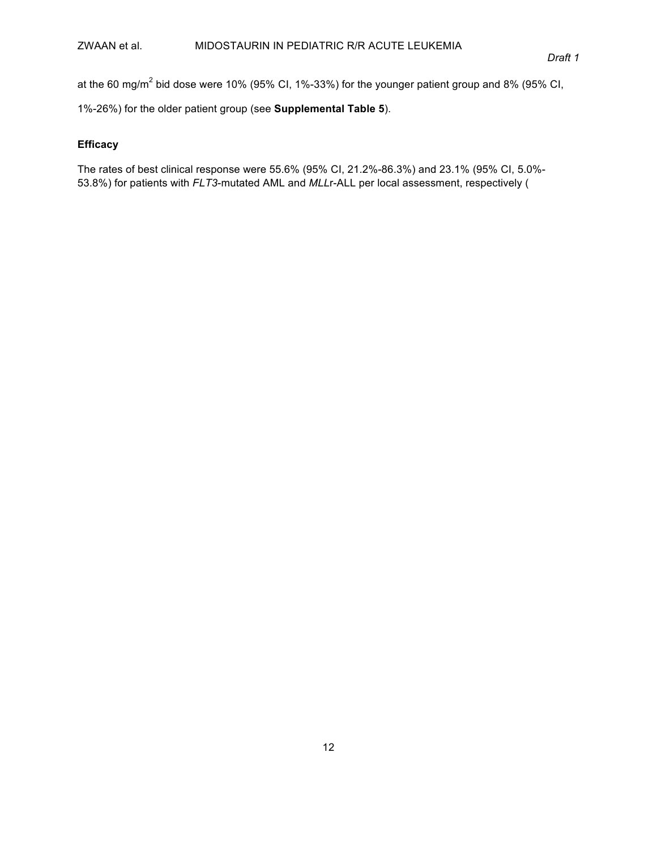#### ZWAAN et al. MIDOSTAURIN IN PEDIATRIC R/R ACUTE LEUKEMIA

at the 60 mg/m<sup>2</sup> bid dose were 10% (95% CI, 1%-33%) for the younger patient group and 8% (95% CI,

1%-26%) for the older patient group (see **Supplemental Table 5**).

### **Efficacy**

The rates of best clinical response were 55.6% (95% Cl, 21.2%-86.3%) and 23.1% (95% Cl, 5.0%-53.8%) for patients with *FLT3*-mutated AML and *MLLr*-ALL per local assessment, respectively (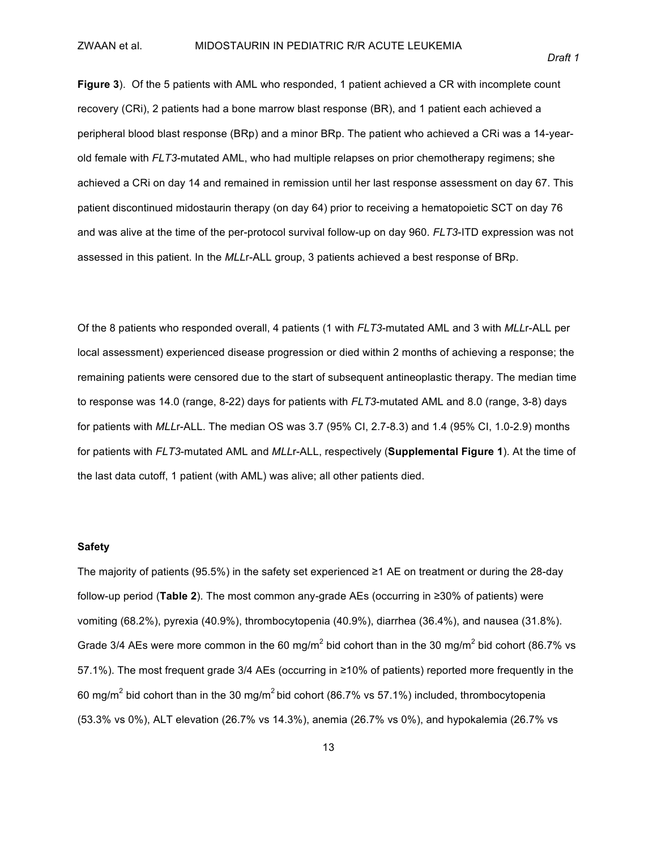**Figure 3**). Of the 5 patients with AML who responded, 1 patient achieved a CR with incomplete count recovery (CRi), 2 patients had a bone marrow blast response (BR), and 1 patient each achieved a peripheral blood blast response (BRp) and a minor BRp. The patient who achieved a CRi was a 14-yearold female with *FLT3*-mutated AML, who had multiple relapses on prior chemotherapy regimens; she achieved a CRi on day 14 and remained in remission until her last response assessment on day 67. This patient discontinued midostaurin therapy (on day 64) prior to receiving a hematopoietic SCT on day 76 and was alive at the time of the per-protocol survival follow-up on day 960. *FLT3*-ITD expression was not assessed in this patient. In the *MLL*r-ALL group, 3 patients achieved a best response of BRp.

Of the 8 patients who responded overall, 4 patients (1 with *FLT3*-mutated AML and 3 with *MLL*r-ALL per local assessment) experienced disease progression or died within 2 months of achieving a response; the remaining patients were censored due to the start of subsequent antineoplastic therapy. The median time to response was 14.0 (range, 8-22) days for patients with *FLT3*-mutated AML and 8.0 (range, 3-8) days for patients with *MLL*r-ALL. The median OS was 3.7 (95% CI, 2.7-8.3) and 1.4 (95% CI, 1.0-2.9) months for patients with *FLT3*-mutated AML and *MLL*r-ALL, respectively (**Supplemental Figure 1**). At the time of the last data cutoff, 1 patient (with AML) was alive; all other patients died.

#### **Safety**

The majority of patients (95.5%) in the safety set experienced ≥1 AE on treatment or during the 28-day follow-up period (Table 2). The most common any-grade AEs (occurring in ≥30% of patients) were vomiting (68.2%), pyrexia (40.9%), thrombocytopenia (40.9%), diarrhea (36.4%), and nausea (31.8%). Grade 3/4 AEs were more common in the 60 mg/m<sup>2</sup> bid cohort than in the 30 mg/m<sup>2</sup> bid cohort (86.7% vs 57.1%). The most frequent grade 3/4 AEs (occurring in ≥10% of patients) reported more frequently in the 60 mg/m<sup>2</sup> bid cohort than in the 30 mg/m<sup>2</sup> bid cohort (86.7% vs 57.1%) included, thrombocytopenia (53.3% vs 0%), ALT elevation (26.7% vs 14.3%), anemia (26.7% vs 0%), and hypokalemia (26.7% vs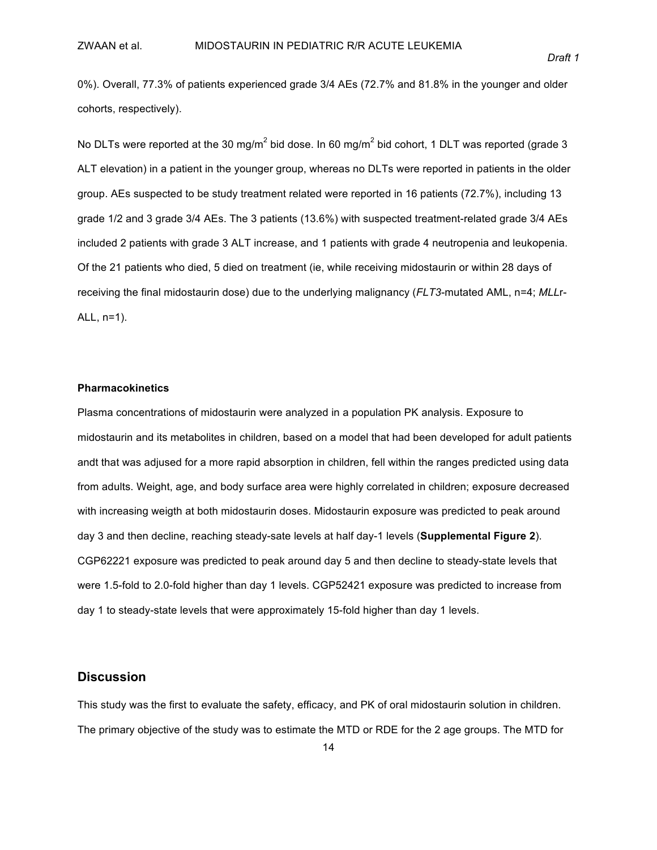0%). Overall, 77.3% of patients experienced grade 3/4 AEs (72.7% and 81.8% in the younger and older cohorts, respectively).

No DLTs were reported at the 30 mg/m<sup>2</sup> bid dose. In 60 mg/m<sup>2</sup> bid cohort, 1 DLT was reported (grade 3) ALT elevation) in a patient in the younger group, whereas no DLTs were reported in patients in the older group. AEs suspected to be study treatment related were reported in 16 patients (72.7%), including 13 grade 1/2 and 3 grade 3/4 AEs. The 3 patients (13.6%) with suspected treatment-related grade 3/4 AEs included 2 patients with grade 3 ALT increase, and 1 patients with grade 4 neutropenia and leukopenia. Of the 21 patients who died, 5 died on treatment (ie, while receiving midostaurin or within 28 days of receiving the final midostaurin dose) due to the underlying malignancy (*FLT3*-mutated AML, n=4; *MLL*r-ALL,  $n=1$ ).

#### **Pharmacokinetics**

Plasma concentrations of midostaurin were analyzed in a population PK analysis. Exposure to midostaurin and its metabolites in children, based on a model that had been developed for adult patients andt that was adjused for a more rapid absorption in children, fell within the ranges predicted using data from adults. Weight, age, and body surface area were highly correlated in children; exposure decreased with increasing weigth at both midostaurin doses. Midostaurin exposure was predicted to peak around day 3 and then decline, reaching steady-sate levels at half day-1 levels (Supplemental Figure 2). CGP62221 exposure was predicted to peak around day 5 and then decline to steady-state levels that were 1.5-fold to 2.0-fold higher than day 1 levels. CGP52421 exposure was predicted to increase from day 1 to steady-state levels that were approximately 15-fold higher than day 1 levels.

#### **Discussion**

This study was the first to evaluate the safety, efficacy, and PK of oral midostaurin solution in children. The primary objective of the study was to estimate the MTD or RDE for the 2 age groups. The MTD for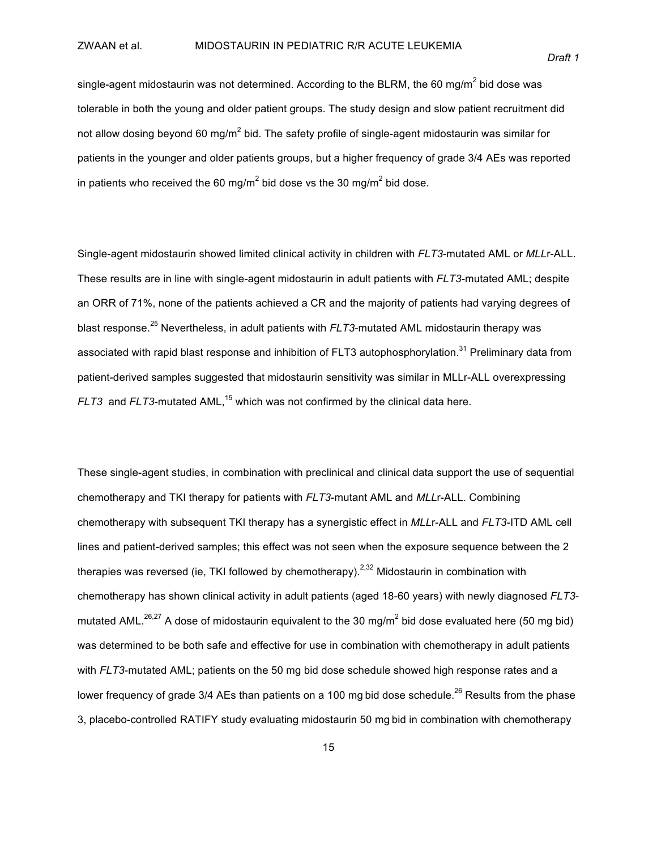single-agent midostaurin was not determined. According to the BLRM, the 60 mg/m<sup>2</sup> bid dose was tolerable in both the young and older patient groups. The study design and slow patient recruitment did not allow dosing beyond 60 mg/m<sup>2</sup> bid. The safety profile of single-agent midostaurin was similar for patients in the younger and older patients groups, but a higher frequency of grade 3/4 AEs was reported in patients who received the 60 mg/m<sup>2</sup> bid dose vs the 30 mg/m<sup>2</sup> bid dose.

Single-agent midostaurin showed limited clinical activity in children with *FLT3*-mutated AML or *MLLr-ALL*. These results are in line with single-agent midostaurin in adult patients with *FLT3*-mutated AML; despite an ORR of 71%, none of the patients achieved a CR and the majority of patients had varying degrees of blast response.<sup>25</sup> Nevertheless, in adult patients with *FLT3*-mutated AML midostaurin therapy was associated with rapid blast response and inhibition of FLT3 autophosphorylation. $^{31}$  Preliminary data from patient-derived samples suggested that midostaurin sensitivity was similar in MLLr-ALL overexpressing FLT3 and FLT3-mutated AML,<sup>15</sup> which was not confirmed by the clinical data here.

These single-agent studies, in combination with preclinical and clinical data support the use of sequential chemotherapy and TKI therapy for patients with *FLT3*-mutant AML and *MLL*r-ALL. Combining chemotherapy with subsequent TKI therapy has a synergistic effect in *MLL*r-ALL and *FLT3*-ITD AML cell lines and patient-derived samples; this effect was not seen when the exposure sequence between the 2 therapies was reversed (ie, TKI followed by chemotherapy).<sup>2,32</sup> Midostaurin in combination with chemotherapy has shown clinical activity in adult patients (aged 18-60 years) with newly diagnosed *FLT3*mutated AML.<sup>26,27</sup> A dose of midostaurin equivalent to the 30 mg/m<sup>2</sup> bid dose evaluated here (50 mg bid) was determined to be both safe and effective for use in combination with chemotherapy in adult patients with *FLT3*-mutated AML; patients on the 50 mg bid dose schedule showed high response rates and a lower frequency of grade 3/4 AEs than patients on a 100 mg bid dose schedule.<sup>26</sup> Results from the phase 3, placebo-controlled RATIFY study evaluating midostaurin 50 mg bid in combination with chemotherapy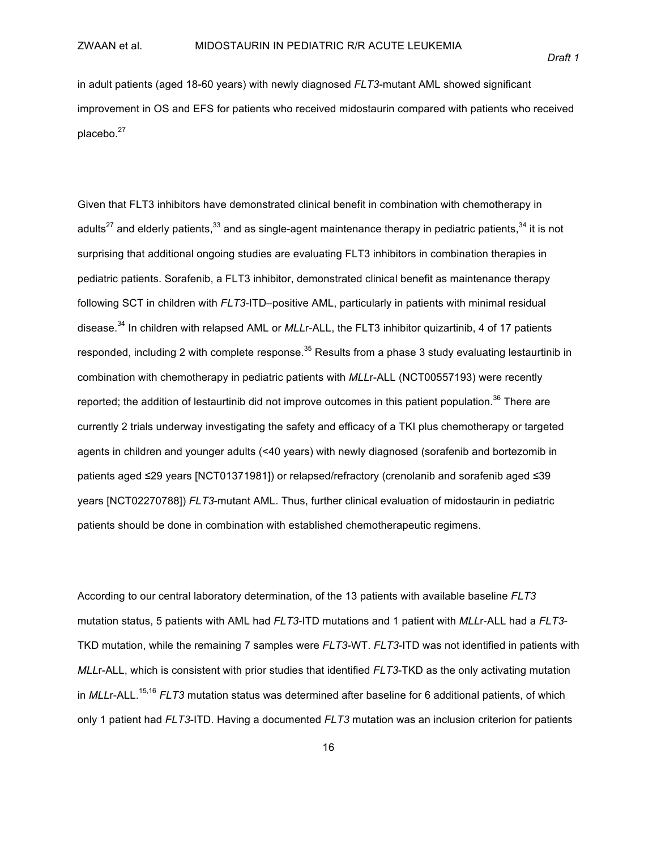in adult patients (aged 18-60 years) with newly diagnosed *FLT3*-mutant AML showed significant improvement in OS and EFS for patients who received midostaurin compared with patients who received placebo.<sup>27</sup>

Given that FLT3 inhibitors have demonstrated clinical benefit in combination with chemotherapy in adults<sup>27</sup> and elderly patients,<sup>33</sup> and as single-agent maintenance therapy in pediatric patients,<sup>34</sup> it is not surprising that additional ongoing studies are evaluating FLT3 inhibitors in combination therapies in pediatric patients. Sorafenib, a FLT3 inhibitor, demonstrated clinical benefit as maintenance therapy following SCT in children with *FLT3*-ITD–positive AML, particularly in patients with minimal residual disease.<sup>34</sup> In children with relapsed AML or *MLL*r-ALL, the FLT3 inhibitor quizartinib, 4 of 17 patients responded, including 2 with complete response.<sup>35</sup> Results from a phase 3 study evaluating lestaurtinib in combination with chemotherapy in pediatric patients with *MLL*r-ALL (NCT00557193) were recently reported; the addition of lestaurtinib did not improve outcomes in this patient population.<sup>36</sup> There are currently 2 trials underway investigating the safety and efficacy of a TKI plus chemotherapy or targeted agents in children and younger adults (<40 years) with newly diagnosed (sorafenib and bortezomib in patients aged ≤29 years [NCT01371981]) or relapsed/refractory (crenolanib and sorafenib aged ≤39 years [NCT02270788]) *FLT3*-mutant AML. Thus, further clinical evaluation of midostaurin in pediatric patients should be done in combination with established chemotherapeutic regimens.

According to our central laboratory determination, of the 13 patients with available baseline *FLT3* mutation status, 5 patients with AML had *FLT3*-ITD mutations and 1 patient with *MLLr-ALL* had a *FLT3*-TKD mutation, while the remaining 7 samples were *FLT3-WT. FLT3-ITD* was not identified in patients with *MLL*r-ALL, which is consistent with prior studies that identified *FLT3*-TKD as the only activating mutation in *MLL*r-ALL.<sup>15,16</sup> *FLT3* mutation status was determined after baseline for 6 additional patients, of which only 1 patient had *FLT3*-ITD. Having a documented *FLT3* mutation was an inclusion criterion for patients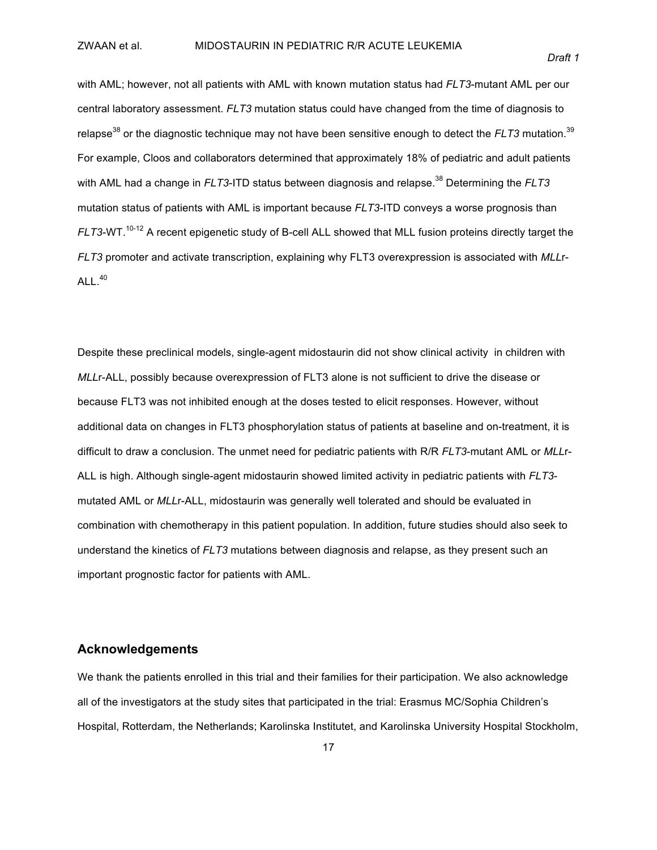with AML; however, not all patients with AML with known mutation status had *FLT3*-mutant AML per our central laboratory assessment. *FLT3* mutation status could have changed from the time of diagnosis to relapse $^{38}$  or the diagnostic technique may not have been sensitive enough to detect the *FLT3* mutation. $^{39}$ For example, Cloos and collaborators determined that approximately 18% of pediatric and adult patients with AML had a change in *FLT3*-ITD status between diagnosis and relapse.<sup>38</sup> Determining the *FLT3* mutation status of patients with AML is important because *FLT3*-ITD conveys a worse prognosis than *FLT3*-WT.<sup>10-12</sup> A recent epigenetic study of B-cell ALL showed that MLL fusion proteins directly target the *FLT3* promoter and activate transcription, explaining why FLT3 overexpression is associated with *MLL*r- $ALL.<sup>40</sup>$ 

Despite these preclinical models, single-agent midostaurin did not show clinical activity in children with *MLL*r-ALL, possibly because overexpression of FLT3 alone is not sufficient to drive the disease or because FLT3 was not inhibited enough at the doses tested to elicit responses. However, without additional data on changes in FLT3 phosphorylation status of patients at baseline and on-treatment, it is difficult to draw a conclusion. The unmet need for pediatric patients with R/R *FLT3*-mutant AML or *MLL*r-ALL is high. Although single-agent midostaurin showed limited activity in pediatric patients with *FLT3*mutated AML or *MLL*r-ALL, midostaurin was generally well tolerated and should be evaluated in combination with chemotherapy in this patient population. In addition, future studies should also seek to understand the kinetics of *FLT3* mutations between diagnosis and relapse, as they present such an important prognostic factor for patients with AML.

### **Acknowledgements**

We thank the patients enrolled in this trial and their families for their participation. We also acknowledge all of the investigators at the study sites that participated in the trial: Erasmus MC/Sophia Children's Hospital, Rotterdam, the Netherlands; Karolinska Institutet, and Karolinska University Hospital Stockholm,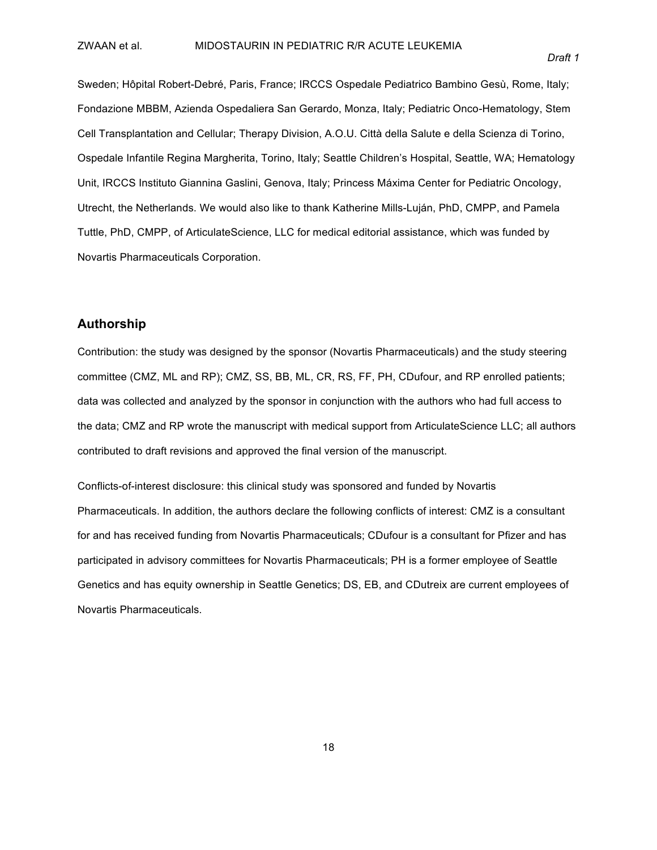Sweden; Hôpital Robert-Debré, Paris, France; IRCCS Ospedale Pediatrico Bambino Gesù, Rome, Italy; Fondazione MBBM, Azienda Ospedaliera San Gerardo, Monza, Italy; Pediatric Onco-Hematology, Stem Cell Transplantation and Cellular; Therapy Division, A.O.U. Città della Salute e della Scienza di Torino, Ospedale Infantile Regina Margherita, Torino, Italy; Seattle Children's Hospital, Seattle, WA; Hematology Unit, IRCCS Instituto Giannina Gaslini, Genova, Italy; Princess Máxima Center for Pediatric Oncology, Utrecht, the Netherlands. We would also like to thank Katherine Mills-Luján, PhD, CMPP, and Pamela Tuttle, PhD, CMPP, of ArticulateScience, LLC for medical editorial assistance, which was funded by Novartis Pharmaceuticals Corporation.

### **Authorship**

Contribution: the study was designed by the sponsor (Novartis Pharmaceuticals) and the study steering committee (CMZ, ML and RP); CMZ, SS, BB, ML, CR, RS, FF, PH, CDufour, and RP enrolled patients; data was collected and analyzed by the sponsor in conjunction with the authors who had full access to the data; CMZ and RP wrote the manuscript with medical support from ArticulateScience LLC; all authors contributed to draft revisions and approved the final version of the manuscript.

Conflicts-of-interest disclosure: this clinical study was sponsored and funded by Novartis Pharmaceuticals. In addition, the authors declare the following conflicts of interest: CMZ is a consultant for and has received funding from Novartis Pharmaceuticals; CDufour is a consultant for Pfizer and has participated in advisory committees for Novartis Pharmaceuticals; PH is a former employee of Seattle Genetics and has equity ownership in Seattle Genetics; DS, EB, and CDutreix are current employees of Novartis Pharmaceuticals.

18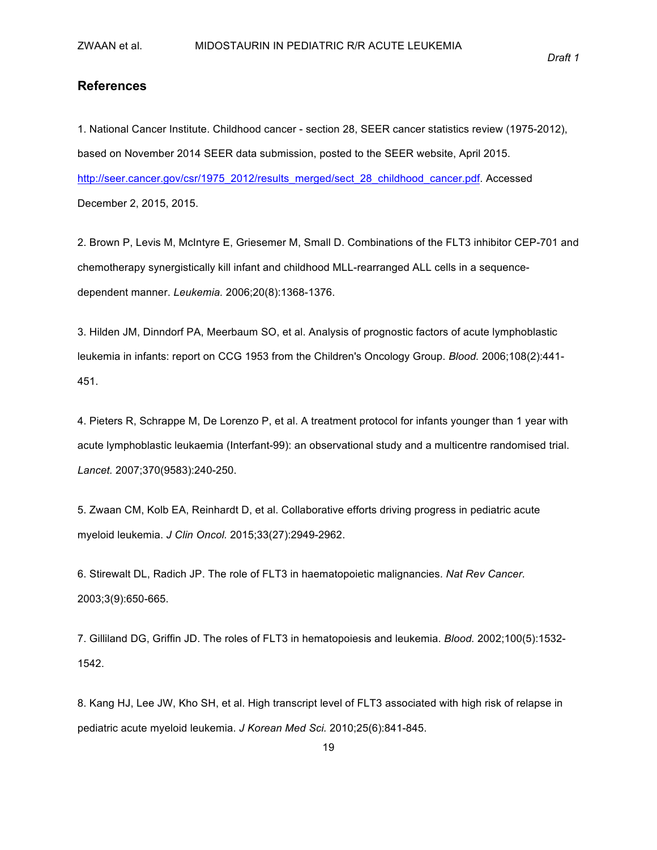### **References**

1. National Cancer Institute. Childhood cancer - section 28, SEER cancer statistics review (1975-2012), based on November 2014 SEER data submission, posted to the SEER website, April 2015. http://seer.cancer.gov/csr/1975\_2012/results\_merged/sect\_28\_childhood\_cancer.pdf. Accessed December 2, 2015, 2015.

2. Brown P, Levis M, McIntyre E, Griesemer M, Small D. Combinations of the FLT3 inhibitor CEP-701 and chemotherapy synergistically kill infant and childhood MLL-rearranged ALL cells in a sequencedependent manner. *Leukemia.* 2006;20(8):1368-1376.

3. Hilden JM, Dinndorf PA, Meerbaum SO, et al. Analysis of prognostic factors of acute lymphoblastic leukemia in infants: report on CCG 1953 from the Children's Oncology Group. *Blood.* 2006;108(2):441-451.

4. Pieters R, Schrappe M, De Lorenzo P, et al. A treatment protocol for infants younger than 1 year with acute lymphoblastic leukaemia (Interfant-99): an observational study and a multicentre randomised trial. Lancet. 2007;370(9583):240-250.

5. Zwaan CM, Kolb EA, Reinhardt D, et al. Collaborative efforts driving progress in pediatric acute myeloid leukemia. *J Clin Oncol.* 2015;33(27):2949-2962.

6. Stirewalt DL, Radich JP. The role of FLT3 in haematopoietic malignancies. Nat Rev Cancer. 2003;3(9):650-665.

7. Gilliland DG, Griffin JD. The roles of FLT3 in hematopoiesis and leukemia. *Blood.* 2002;100(5):1532-1542.

8. Kang HJ, Lee JW, Kho SH, et al. High transcript level of FLT3 associated with high risk of relapse in pediatric acute myeloid leukemia. *J Korean Med Sci.* 2010;25(6):841-845.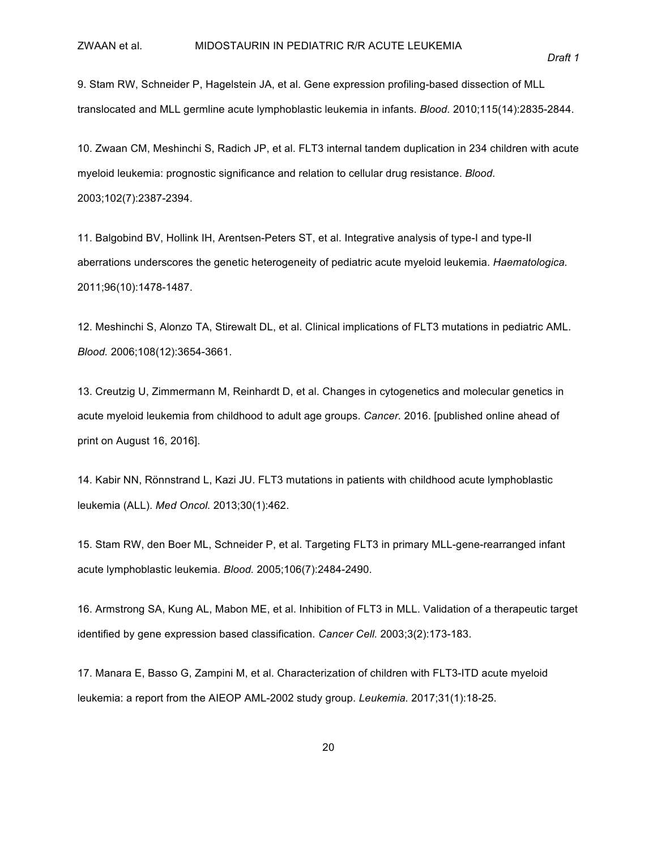9. Stam RW, Schneider P, Hagelstein JA, et al. Gene expression profiling-based dissection of MLL translocated and MLL germline acute lymphoblastic leukemia in infants. *Blood.* 2010;115(14):2835-2844.

10. Zwaan CM, Meshinchi S, Radich JP, et al. FLT3 internal tandem duplication in 234 children with acute myeloid leukemia: prognostic significance and relation to cellular drug resistance. *Blood.* 2003;102(7):2387-2394.

11. Balgobind BV, Hollink IH, Arentsen-Peters ST, et al. Integrative analysis of type-I and type-II aberrations underscores the genetic heterogeneity of pediatric acute myeloid leukemia. *Haematologica.* 2011;96(10):1478-1487.

12. Meshinchi S, Alonzo TA, Stirewalt DL, et al. Clinical implications of FLT3 mutations in pediatric AML. *Blood.* 2006;108(12):3654-3661.

13. Creutzig U, Zimmermann M, Reinhardt D, et al. Changes in cytogenetics and molecular genetics in acute myeloid leukemia from childhood to adult age groups. *Cancer.* 2016. [published online ahead of print on August 16, 2016].

14. Kabir NN, Rönnstrand L, Kazi JU. FLT3 mutations in patients with childhood acute lymphoblastic leukemia (ALL). Med Oncol. 2013;30(1):462.

15. Stam RW, den Boer ML, Schneider P, et al. Targeting FLT3 in primary MLL-gene-rearranged infant acute lymphoblastic leukemia. *Blood.* 2005;106(7):2484-2490.

16. Armstrong SA, Kung AL, Mabon ME, et al. Inhibition of FLT3 in MLL. Validation of a therapeutic target identified by gene expression based classification. *Cancer Cell.* 2003;3(2):173-183.

17. Manara E, Basso G, Zampini M, et al. Characterization of children with FLT3-ITD acute myeloid leukemia: a report from the AIEOP AML-2002 study group. *Leukemia.* 2017;31(1):18-25.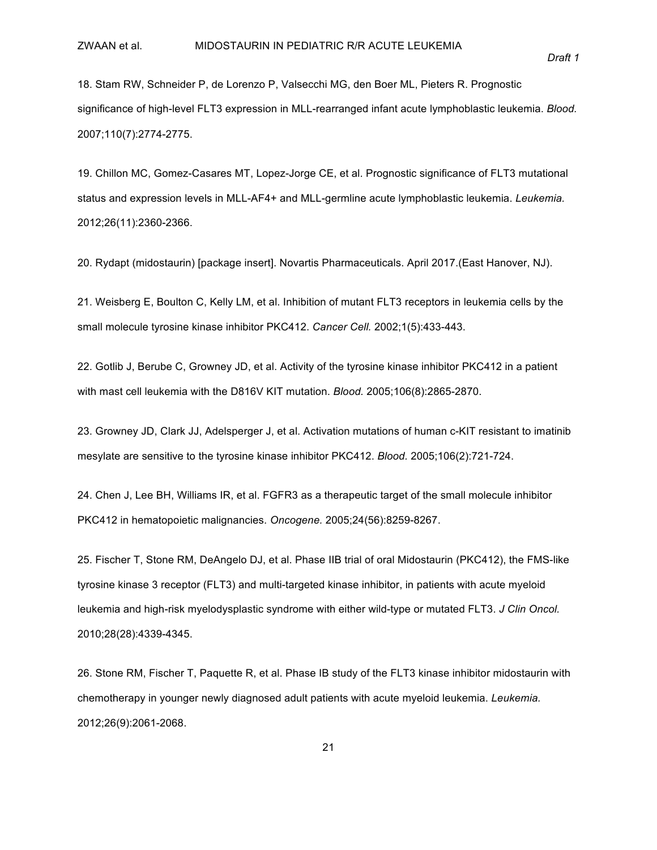18. Stam RW, Schneider P, de Lorenzo P, Valsecchi MG, den Boer ML, Pieters R. Prognostic significance of high-level FLT3 expression in MLL-rearranged infant acute lymphoblastic leukemia. *Blood.* 2007;110(7):2774-2775.

19. Chillon MC, Gomez-Casares MT, Lopez-Jorge CE, et al. Prognostic significance of FLT3 mutational status and expression levels in MLL-AF4+ and MLL-germline acute lymphoblastic leukemia. *Leukemia.* 2012;26(11):2360-2366.

20. Rydapt (midostaurin) [package insert]. Novartis Pharmaceuticals. April 2017.(East Hanover, NJ).

21. Weisberg E, Boulton C, Kelly LM, et al. Inhibition of mutant FLT3 receptors in leukemia cells by the small molecule tyrosine kinase inhibitor PKC412. Cancer Cell. 2002;1(5):433-443.

22. Gotlib J, Berube C, Growney JD, et al. Activity of the tyrosine kinase inhibitor PKC412 in a patient with mast cell leukemia with the D816V KIT mutation. *Blood.* 2005;106(8):2865-2870.

23. Growney JD, Clark JJ, Adelsperger J, et al. Activation mutations of human c-KIT resistant to imatinib mesylate are sensitive to the tyrosine kinase inhibitor PKC412. *Blood.* 2005;106(2):721-724.

24. Chen J, Lee BH, Williams IR, et al. FGFR3 as a therapeutic target of the small molecule inhibitor PKC412 in hematopoietic malignancies. Oncogene. 2005;24(56):8259-8267.

25. Fischer T, Stone RM, DeAngelo DJ, et al. Phase IIB trial of oral Midostaurin (PKC412), the FMS-like tyrosine kinase 3 receptor (FLT3) and multi-targeted kinase inhibitor, in patients with acute myeloid leukemia and high-risk myelodysplastic syndrome with either wild-type or mutated FLT3. *J Clin Oncol.* 2010;28(28):4339-4345.

26. Stone RM, Fischer T, Paquette R, et al. Phase IB study of the FLT3 kinase inhibitor midostaurin with chemotherapy in younger newly diagnosed adult patients with acute myeloid leukemia. *Leukemia*. 2012;26(9):2061-2068.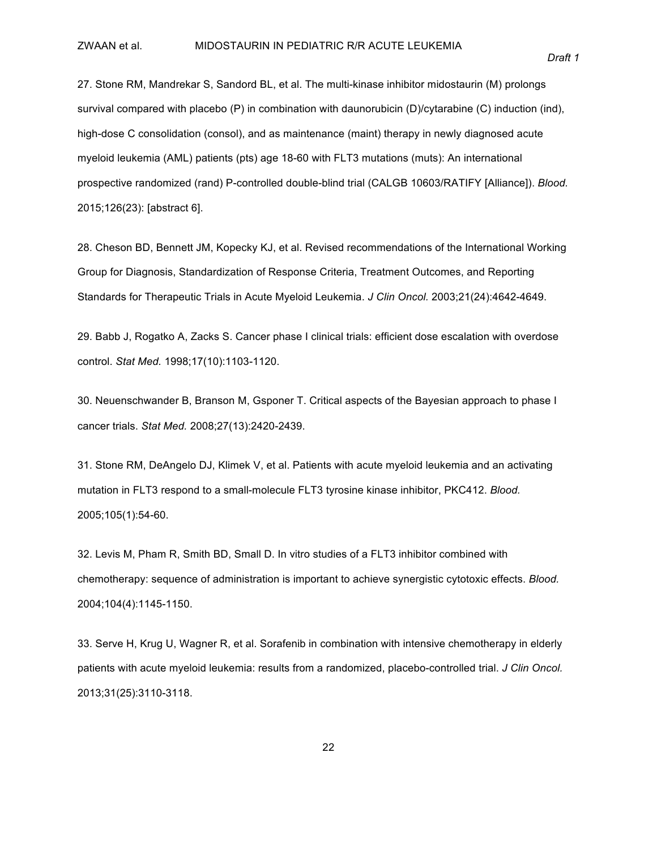27. Stone RM, Mandrekar S, Sandord BL, et al. The multi-kinase inhibitor midostaurin (M) prolongs survival compared with placebo (P) in combination with daunorubicin (D)/cytarabine (C) induction (ind), high-dose C consolidation (consol), and as maintenance (maint) therapy in newly diagnosed acute myeloid leukemia (AML) patients (pts) age 18-60 with FLT3 mutations (muts): An international prospective randomized (rand) P-controlled double-blind trial (CALGB 10603/RATIFY [Alliance]). *Blood.* 2015;126(23): [abstract 6].

28. Cheson BD, Bennett JM, Kopecky KJ, et al. Revised recommendations of the International Working Group for Diagnosis, Standardization of Response Criteria, Treatment Outcomes, and Reporting Standards for Therapeutic Trials in Acute Myeloid Leukemia. *J Clin Oncol.* 2003;21(24):4642-4649.

29. Babb J, Rogatko A, Zacks S. Cancer phase I clinical trials: efficient dose escalation with overdose control. Stat Med. 1998;17(10):1103-1120.

30. Neuenschwander B, Branson M, Gsponer T. Critical aspects of the Bayesian approach to phase I cancer trials. Stat Med. 2008;27(13):2420-2439.

31. Stone RM, DeAngelo DJ, Klimek V, et al. Patients with acute myeloid leukemia and an activating mutation in FLT3 respond to a small-molecule FLT3 tyrosine kinase inhibitor, PKC412. *Blood.* 2005;105(1):54-60.

32. Levis M, Pham R, Smith BD, Small D. In vitro studies of a FLT3 inhibitor combined with chemotherapy: sequence of administration is important to achieve synergistic cytotoxic effects. *Blood.* 2004;104(4):1145-1150.

33. Serve H, Krug U, Wagner R, et al. Sorafenib in combination with intensive chemotherapy in elderly patients with acute myeloid leukemia: results from a randomized, placebo-controlled trial. *J Clin Oncol.* 2013;31(25):3110-3118.

*Draft&1*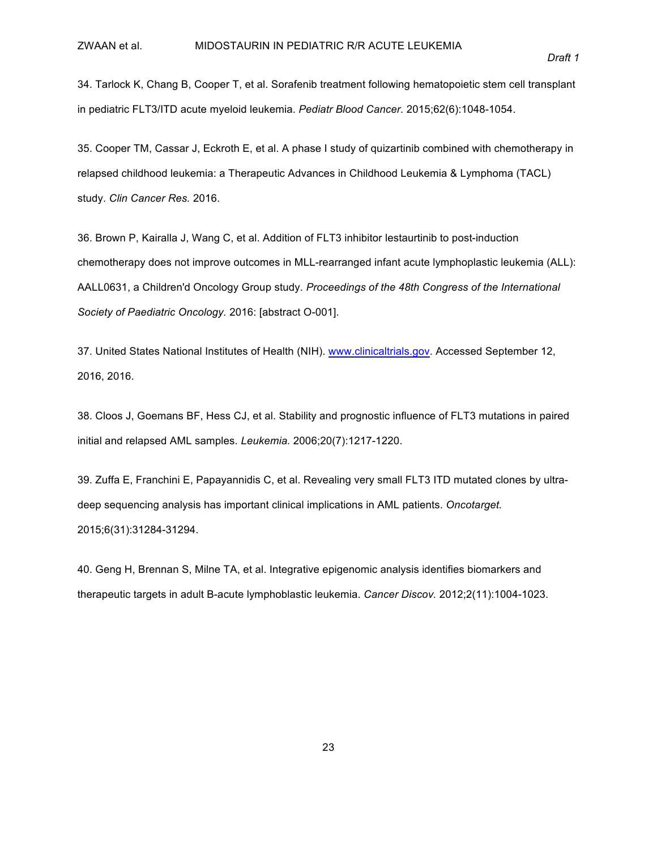34. Tarlock K, Chang B, Cooper T, et al. Sorafenib treatment following hematopoietic stem cell transplant in pediatric FLT3/ITD acute myeloid leukemia. Pediatr Blood Cancer. 2015:62(6):1048-1054.

35. Cooper TM, Cassar J, Eckroth E, et al. A phase I study of quizartinib combined with chemotherapy in relapsed childhood leukemia: a Therapeutic Advances in Childhood Leukemia & Lymphoma (TACL) study. Clin Cancer Res. 2016.

36. Brown P, Kairalla J, Wang C, et al. Addition of FLT3 inhibitor lestaurtinib to post-induction chemotherapy does not improve outcomes in MLL-rearranged infant acute lymphoplastic leukemia (ALL): AALL0631, a Children'd Oncology Group study. Proceedings of the 48th Congress of the International Society of Paediatric Oncology. 2016: [abstract O-001].

37. United States National Institutes of Health (NIH). www.clinicaltrials.gov. Accessed September 12, 2016.

38. Cloos J, Goemans BF, Hess CJ, et al. Stability and prognostic influence of FLT3 mutations in paired initial and relapsed AML samples. *Leukemia.* 2006;20(7):1217-1220.

39. Zuffa E, Franchini E, Papayannidis C, et al. Revealing very small FLT3 ITD mutated clones by ultradeep sequencing analysis has important clinical implications in AML patients. Oncotarget. 2015;6(31):31284-31294.

40. Geng H, Brennan S, Milne TA, et al. Integrative epigenomic analysis identifies biomarkers and therapeutic targets in adult B-acute lymphoblastic leukemia. *Cancer Discov.* 2012;2(11):1004-1023.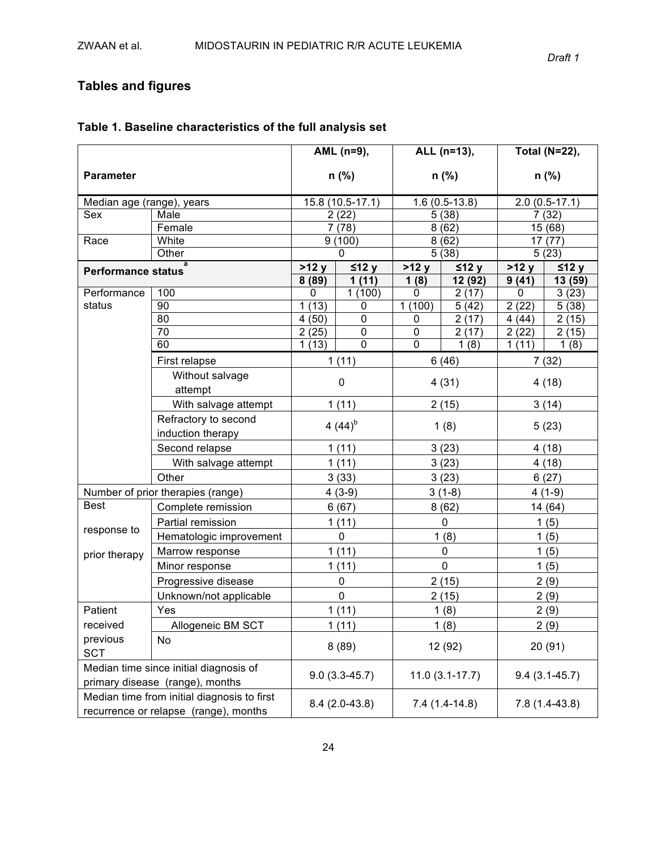## **Tables!and!figures**

|                                             |                                                                                      | AML (n=9),       |                 | ALL (n=13),      |                  | <b>Total (N=22),</b> |                  |
|---------------------------------------------|--------------------------------------------------------------------------------------|------------------|-----------------|------------------|------------------|----------------------|------------------|
| <b>Parameter</b>                            |                                                                                      | $n$ (%)          |                 | n (%)            |                  | $n$ (%)              |                  |
| Median age (range), years                   |                                                                                      | 15.8 (10.5-17.1) |                 |                  | $1.6(0.5-13.8)$  |                      | $2.0(0.5-17.1)$  |
| Sex<br>Male                                 |                                                                                      |                  | 2(22)           |                  | 5(38)            |                      | 7(32)            |
|                                             | Female                                                                               |                  | 7(78)           |                  | 8(62)            |                      | 15 (68)          |
| Race                                        | White                                                                                |                  | 9(100)          |                  | 8(62)            |                      | 17(77)           |
|                                             | Other                                                                                |                  | $\Omega$        |                  | 5(38)            |                      | 5(23)            |
| $\overline{a}$<br><b>Performance status</b> |                                                                                      | >12y<br>8(89)    | ≤12 y<br>1(11)  | >12 y<br>1(8)    | ≤12 y<br>12 (92) | >12 y<br>9(41)       | ≤12 y<br>13 (59) |
| Performance                                 | 100                                                                                  | 0                | 1(100)          | 0                | 2(17)            | 0                    | 3(23)            |
| status                                      | 90                                                                                   | (13)<br>1        | $\mathbf 0$     | 1(100)           | 5(42)            | $\overline{2}$ (22)  | 5(38)            |
|                                             | 80                                                                                   | (50)<br>4        | $\mathbf 0$     | 0                | 2(17)            | 4(44)                | 2(15)            |
|                                             | 70                                                                                   | 2(25)            | $\mathbf 0$     | 0                | 2(17)            | 2(22)                | 2(15)            |
|                                             | 60                                                                                   | 1(13)            | $\overline{0}$  | $\mathbf 0$      | 1(8)             | 1(11)                | 1(8)             |
|                                             | First relapse                                                                        |                  | 1(11)           |                  | 6(46)            |                      | 7(32)            |
|                                             | Without salvage<br>attempt                                                           | 0                |                 | 4(31)            |                  | 4(18)                |                  |
|                                             | With salvage attempt                                                                 | 1(11)            |                 | 2(15)            |                  | 3(14)                |                  |
|                                             | Refractory to second                                                                 |                  |                 |                  |                  |                      |                  |
|                                             | induction therapy                                                                    | 4 $(44)^{b}$     |                 | 1(8)             |                  | 5(23)                |                  |
|                                             | Second relapse                                                                       | 1(11)            |                 |                  | 3(23)            |                      | 4(18)            |
|                                             | With salvage attempt                                                                 | 1(11)            |                 | 3(23)            |                  |                      | 4(18)            |
|                                             | Other                                                                                | 3(33)            |                 | 3(23)            |                  | 6(27)                |                  |
|                                             | Number of prior therapies (range)                                                    | $4(3-9)$         |                 | $3(1-8)$         |                  | $4(1-9)$             |                  |
| <b>Best</b>                                 | Complete remission                                                                   | 6(67)            |                 | 8(62)            |                  | 14 (64)              |                  |
|                                             | Partial remission                                                                    | 1(11)            |                 | $\mathbf 0$      |                  | 1(5)                 |                  |
| response to                                 | Hematologic improvement                                                              | $\mathbf 0$      |                 | 1(8)             |                  | 1(5)                 |                  |
| prior therapy                               | Marrow response                                                                      | 1(11)            |                 | $\pmb{0}$        |                  | 1(5)                 |                  |
|                                             | Minor response                                                                       | 1(11)            |                 | $\mathbf 0$      |                  | 1(5)                 |                  |
|                                             | Progressive disease                                                                  | $\mathbf 0$      |                 | 2(15)            |                  |                      | 2(9)             |
|                                             | Unknown/not applicable                                                               |                  | $\mathbf 0$     |                  | 2(15)            |                      | 2(9)             |
| Patient                                     | Yes                                                                                  |                  | 1(11)           |                  | 1(8)             |                      | 2(9)             |
| received                                    | Allogeneic BM SCT                                                                    |                  | 1(11)           |                  | 1(8)             |                      | 2(9)             |
| previous<br><b>SCT</b>                      | No                                                                                   |                  | 8(89)           |                  | 12 (92)          |                      | 20(91)           |
|                                             | Median time since initial diagnosis of<br>primary disease (range), months            | $9.0(3.3-45.7)$  |                 | $11.0(3.1-17.7)$ |                  | $9.4(3.1 - 45.7)$    |                  |
|                                             | Median time from initial diagnosis to first<br>recurrence or relapse (range), months |                  | $8.4(2.0-43.8)$ | $7.4(1.4-14.8)$  |                  | $7.8(1.4-43.8)$      |                  |

### **Table 1. Baseline characteristics of the full analysis set**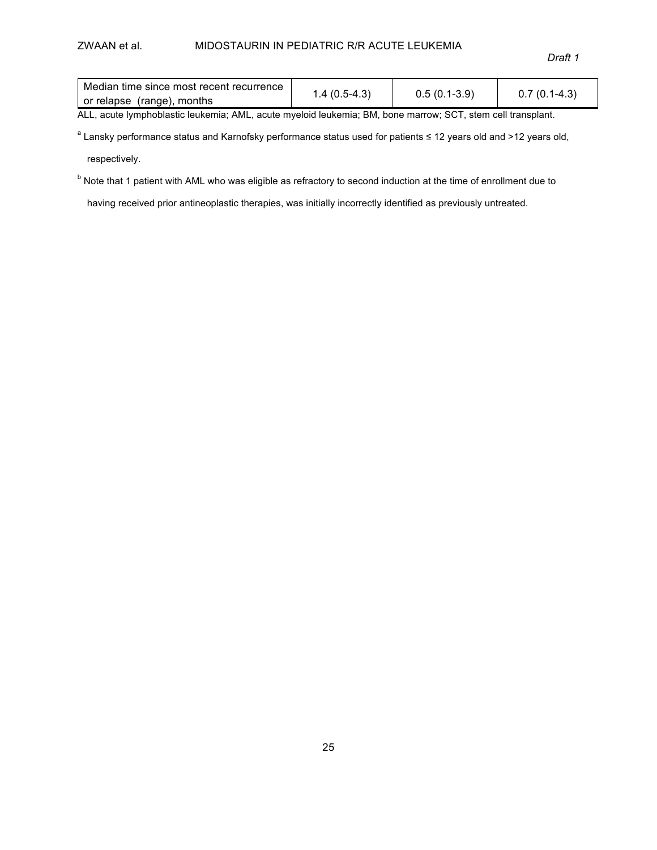#### ZWAAN et al. MIDOSTAURIN IN PEDIATRIC R/R ACUTE LEUKEMIA

*Draft&1*

| Median time since most recent recurrence |                |                |                |
|------------------------------------------|----------------|----------------|----------------|
| or relapse (range), months               | $1.4(0.5-4.3)$ | $0.5(0.1-3.9)$ | $0.7(0.1-4.3)$ |

ALL, acute lymphoblastic leukemia; AML, acute myeloid leukemia; BM, bone marrow; SCT, stem cell transplant.

a Lansky performance status and Karnofsky performance status used for patients ≤ 12 years old and >12 years old,

respectively.

 $b$  Note that 1 patient with AML who was eligible as refractory to second induction at the time of enrollment due to

having received prior antineoplastic therapies, was initially incorrectly identified as previously untreated.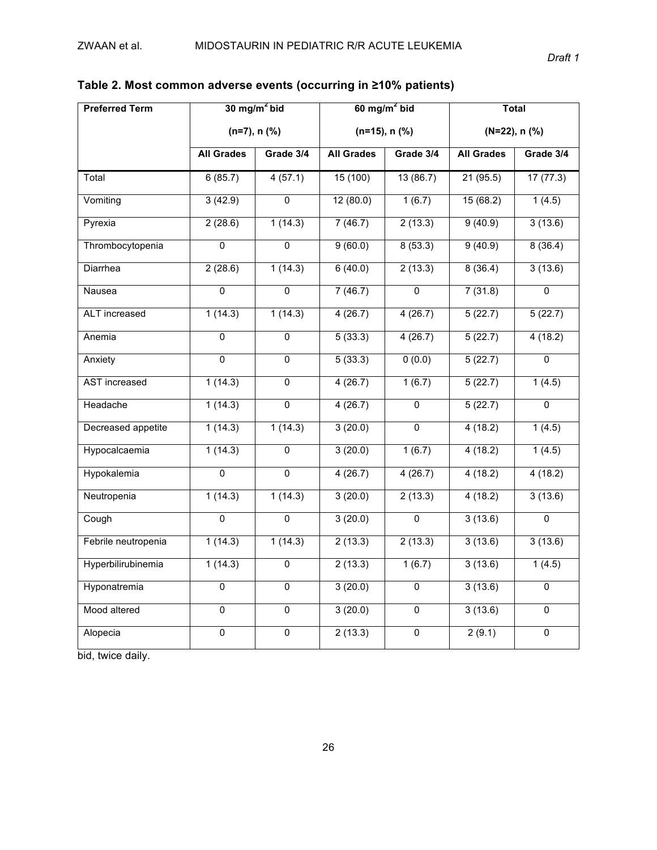| <b>Preferred Term</b> |                   | $30$ mg/m <sup>2</sup> bid |                   | $60$ mg/m <sup>2</sup> bid | <b>Total</b>      |                |  |
|-----------------------|-------------------|----------------------------|-------------------|----------------------------|-------------------|----------------|--|
|                       |                   | $(n=7)$ , n $(\%)$         |                   | $(n=15)$ , n $(\%)$        |                   | (N=22), n (%)  |  |
|                       | <b>All Grades</b> | Grade 3/4                  | <b>All Grades</b> | Grade 3/4                  | <b>All Grades</b> | Grade 3/4      |  |
| Total                 | 6(85.7)           | 4(57.1)                    | 15(100)           | 13(86.7)                   | 21(95.5)          | 17(77.3)       |  |
| Vomiting              | 3(42.9)           | $\overline{0}$             | 12(80.0)          | 1(6.7)                     | 15(68.2)          | 1(4.5)         |  |
| Pyrexia               | 2(28.6)           | 1(14.3)                    | 7(46.7)           | 2(13.3)                    | 9(40.9)           | 3(13.6)        |  |
| Thrombocytopenia      | $\overline{0}$    | $\Omega$                   | 9(60.0)           | 8(53.3)                    | 9(40.9)           | 8(36.4)        |  |
| Diarrhea              | 2(28.6)           | 1(14.3)                    | 6(40.0)           | 2(13.3)                    | 8(36.4)           | 3(13.6)        |  |
| Nausea                | $\overline{0}$    | $\overline{0}$             | 7(46.7)           | $\overline{0}$             | 7(31.8)           | $\overline{0}$ |  |
| <b>ALT</b> increased  | 1(14.3)           | 1(14.3)                    | 4(26.7)           | 4(26.7)                    | 5(22.7)           | 5(22.7)        |  |
| Anemia                | $\mathbf 0$       | $\overline{0}$             | 5(33.3)           | 4(26.7)                    | 5(22.7)           | 4(18.2)        |  |
| Anxiety               | $\overline{0}$    | $\overline{0}$             | 5(33.3)           | 0(0.0)                     | 5(22.7)           | $\overline{0}$ |  |
| <b>AST</b> increased  | 1(14.3)           | $\overline{0}$             | 4(26.7)           | 1(6.7)                     | 5(22.7)           | 1(4.5)         |  |
| Headache              | 1(14.3)           | $\overline{0}$             | 4(26.7)           | $\overline{0}$             | 5(22.7)           | $\overline{0}$ |  |
| Decreased appetite    | 1(14.3)           | 1(14.3)                    | 3(20.0)           | $\Omega$                   | 4(18.2)           | 1(4.5)         |  |
| Hypocalcaemia         | 1(14.3)           | $\overline{0}$             | 3(20.0)           | 1(6.7)                     | 4(18.2)           | 1(4.5)         |  |
| Hypokalemia           | $\Omega$          | $\Omega$                   | 4(26.7)           | 4(26.7)                    | 4(18.2)           | 4(18.2)        |  |
| Neutropenia           | 1(14.3)           | 1(14.3)                    | 3(20.0)           | 2(13.3)                    | 4(18.2)           | 3(13.6)        |  |
| Cough                 | $\mathbf 0$       | $\overline{0}$             | 3(20.0)           | $\Omega$                   | 3(13.6)           | $\overline{0}$ |  |
| Febrile neutropenia   | 1(14.3)           | 1(14.3)                    | 2(13.3)           | 2(13.3)                    | 3(13.6)           | 3(13.6)        |  |
| Hyperbilirubinemia    | 1(14.3)           | $\overline{0}$             | 2(13.3)           | 1(6.7)                     | 3(13.6)           | 1(4.5)         |  |
| Hyponatremia          | $\mathbf 0$       | $\overline{0}$             | 3(20.0)           | $\overline{0}$             | 3(13.6)           | 0              |  |
| Mood altered          | $\overline{0}$    | $\overline{0}$             | 3(20.0)           | $\overline{0}$             | 3(13.6)           | 0              |  |
| Alopecia              | $\overline{0}$    | $\overline{0}$             | 2(13.3)           | $\overline{0}$             | 2(9.1)            | $\overline{0}$ |  |

**Table!2. Most!common!adverse!events!(occurring!in!≥10% patients)**

bid, twice daily.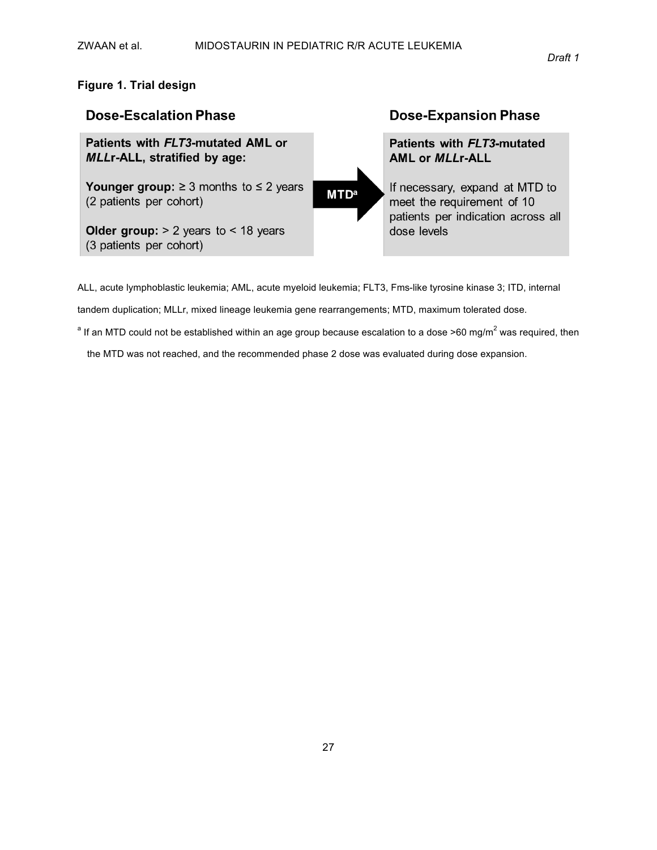### **Figure 1. Trial!design**



ALL, acute lymphoblastic leukemia; AML, acute myeloid leukemia; FLT3, Fms-like tyrosine kinase 3; ITD, internal

tandem duplication; MLLr, mixed lineage leukemia gene rearrangements; MTD, maximum tolerated dose.

<sup>a</sup> If an MTD could not be established within an age group because escalation to a dose >60 mg/m<sup>2</sup> was required, then

the MTD was not reached, and the recommended phase 2 dose was evaluated during dose expansion.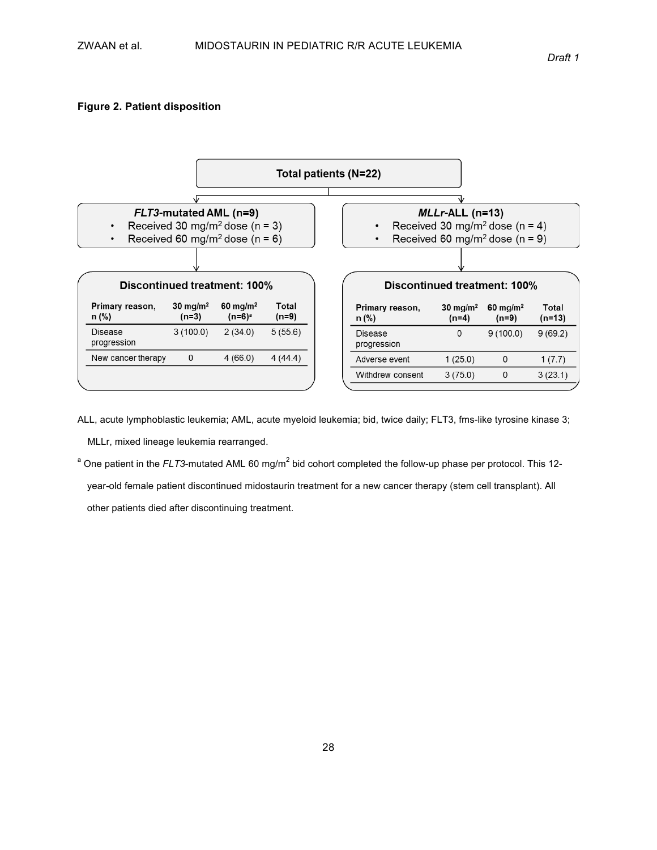### **Figure 2. Patient disposition**



ALL, acute lymphoblastic leukemia; AML, acute myeloid leukemia; bid, twice daily; FLT3, fms-like tyrosine kinase 3;

MLLr, mixed lineage leukemia rearranged.

<sup>a</sup> One patient in the *FLT3*-mutated AML 60 mg/m<sup>2</sup> bid cohort completed the follow-up phase per protocol. This 12-

year-old female patient discontinued midostaurin treatment for a new cancer therapy (stem cell transplant). All other patients died after discontinuing treatment.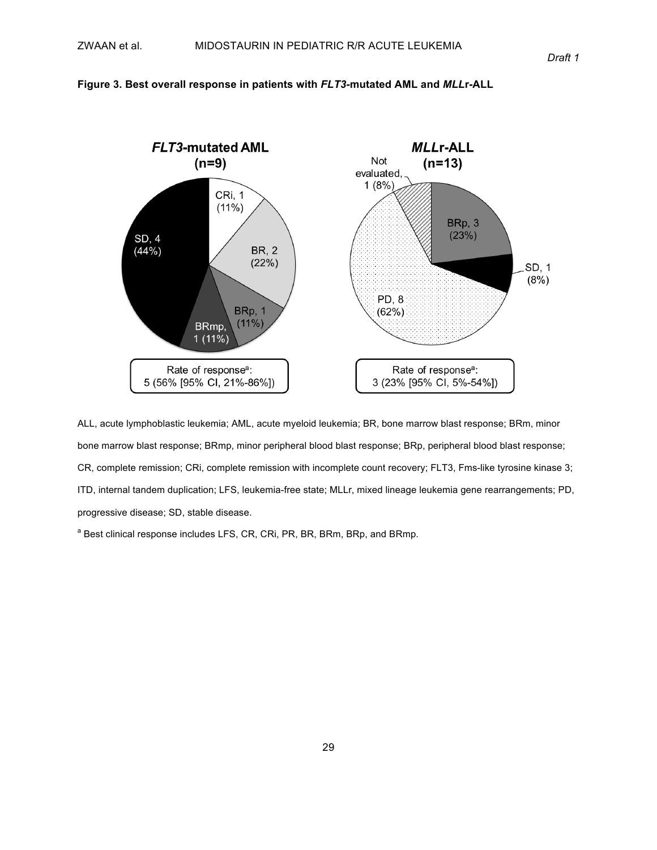#### **Figure 3. Best overall response in patients with** *FLT3***-mutated AML and** *MLL***r-ALL**



ALL, acute lymphoblastic leukemia; AML, acute myeloid leukemia; BR, bone marrow blast response; BRm, minor bone marrow blast response; BRmp, minor peripheral blood blast response; BRp, peripheral blood blast response; CR, complete remission; CRi, complete remission with incomplete count recovery; FLT3, Fms-like tyrosine kinase 3; ITD, internal tandem duplication; LFS, leukemia-free state; MLLr, mixed lineage leukemia gene rearrangements; PD, progressive disease; SD, stable disease.

<sup>a</sup> Best clinical response includes LFS, CR, CRi, PR, BR, BRm, BRp, and BRmp.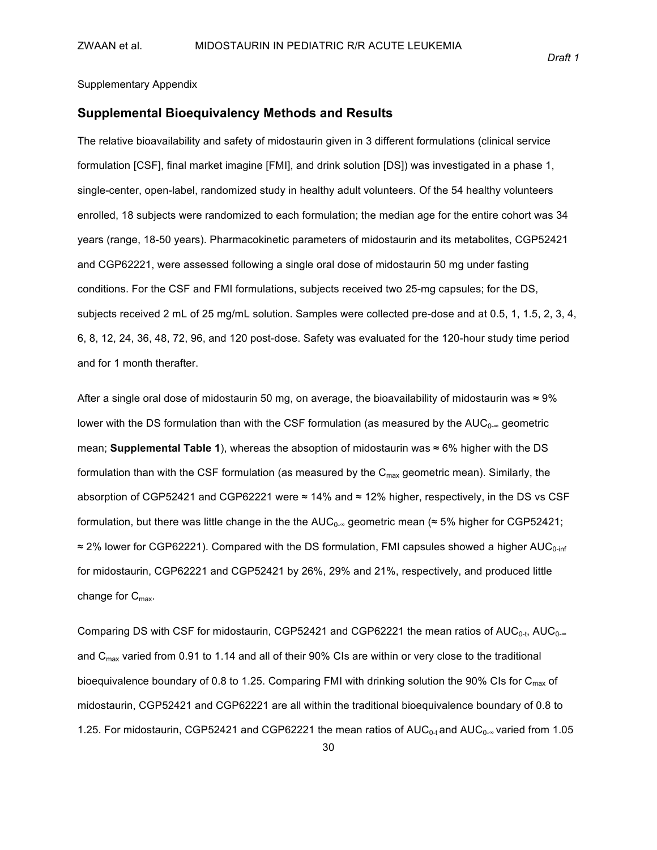Supplementary Appendix

#### **Supplemental!Bioequivalency!Methods!and!Results**

The relative bioavailability and safety of midostaurin given in 3 different formulations (clinical service formulation [CSF], final market imagine [FMI], and drink solution [DS]) was investigated in a phase 1, single-center, open-label, randomized study in healthy adult volunteers. Of the 54 healthy volunteers enrolled, 18 subjects were randomized to each formulation; the median age for the entire cohort was 34 years (range, 18-50 years). Pharmacokinetic parameters of midostaurin and its metabolites, CGP52421 and CGP62221, were assessed following a single oral dose of midostaurin 50 mg under fasting conditions. For the CSF and FMI formulations, subjects received two 25-mg capsules; for the DS, subjects received 2 mL of 25 mg/mL solution. Samples were collected pre-dose and at 0.5, 1, 1.5, 2, 3, 4, 6, 8, 12, 24, 36, 48, 72, 96, and 120 post-dose. Safety was evaluated for the 120-hour study time period and for 1 month therafter.

After a single oral dose of midostaurin 50 mg, on average, the bioavailability of midostaurin was ≈ 9% lower with the DS formulation than with the CSF formulation (as measured by the AUC<sub>0∞</sub> geometric mean; **Supplemental Table 1**), whereas the absoption of midostaurin was ≈ 6% higher with the DS formulation than with the CSF formulation (as measured by the  $C_{\text{max}}$  geometric mean). Similarly, the absorption of CGP52421 and CGP62221 were ≈ 14% and ≈ 12% higher, respectively, in the DS vs CSF formulation, but there was little change in the the AUC<sub>0</sub>∞ geometric mean (≈ 5% higher for CGP52421;  $\approx$  2% lower for CGP62221). Compared with the DS formulation, FMI capsules showed a higher AUC<sub>0-inf</sub> for midostaurin, CGP62221 and CGP52421 by 26%, 29% and 21%, respectively, and produced little change for  $C_{\text{max}}$ .

Comparing DS with CSF for midostaurin, CGP52421 and CGP62221 the mean ratios of AUC<sub>0-t</sub>, AUC<sub>0-∞</sub> and  $C_{\text{max}}$  varied from 0.91 to 1.14 and all of their 90% CIs are within or very close to the traditional bioequivalence boundary of 0.8 to 1.25. Comparing FMI with drinking solution the 90% CIs for C<sub>max</sub> of midostaurin, CGP52421 and CGP62221 are all within the traditional bioequivalence boundary of 0.8 to 1.25. For midostaurin, CGP52421 and CGP62221 the mean ratios of  $AUC_{0-t}$  and  $AUC_{0-\infty}$  varied from 1.05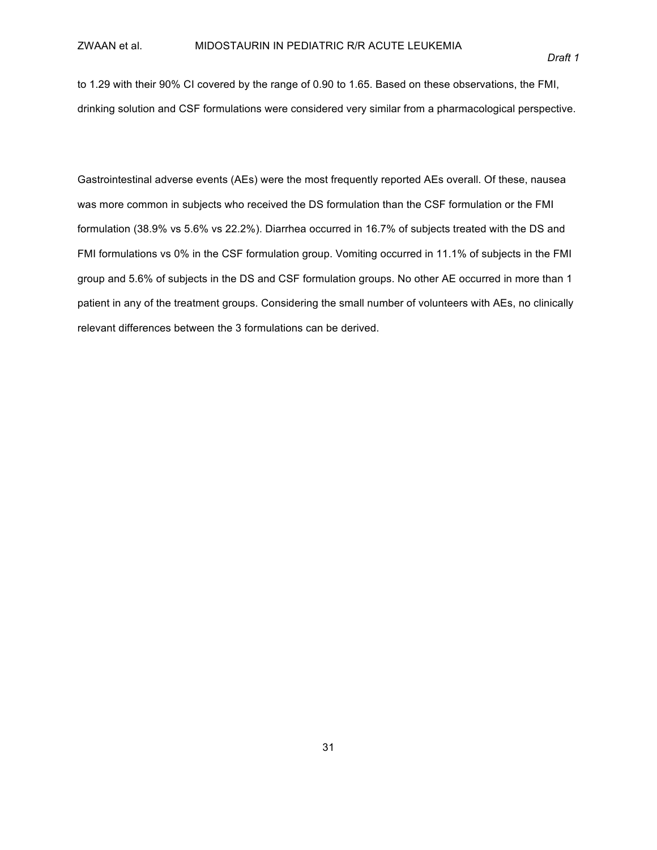to 1.29 with their 90% CI covered by the range of 0.90 to 1.65. Based on these observations, the FMI, drinking solution and CSF formulations were considered very similar from a pharmacological perspective.

Gastrointestinal adverse events (AEs) were the most frequently reported AEs overall. Of these, nausea was more common in subjects who received the DS formulation than the CSF formulation or the FMI formulation (38.9% vs 5.6% vs 22.2%). Diarrhea occurred in 16.7% of subjects treated with the DS and FMI formulations vs 0% in the CSF formulation group. Vomiting occurred in 11.1% of subjects in the FMI group and 5.6% of subjects in the DS and CSF formulation groups. No other AE occurred in more than 1 patient in any of the treatment groups. Considering the small number of volunteers with AEs, no clinically relevant differences between the 3 formulations can be derived.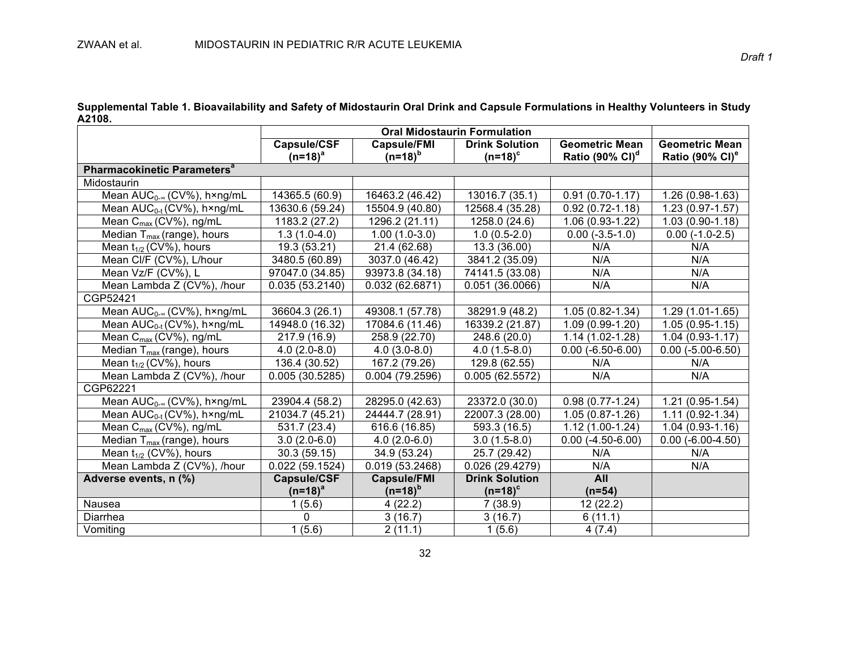Supplemental Table 1. Bioavailability and Safety of Midostaurin Oral Drink and Capsule Formulations in Healthy Volunteers in Study **A2108.\***

|                                         |                    | <b>Oral Midostaurin Formulation</b> |                       |                             |                             |  |  |  |
|-----------------------------------------|--------------------|-------------------------------------|-----------------------|-----------------------------|-----------------------------|--|--|--|
|                                         | Capsule/CSF        | <b>Capsule/FMI</b>                  | <b>Drink Solution</b> | <b>Geometric Mean</b>       | <b>Geometric Mean</b>       |  |  |  |
|                                         | $(n=18)^a$         | $(n=18)^{b}$                        | $(n=18)^c$            | Ratio $(90\% \text{ Cl})^d$ | Ratio (90% CI) <sup>e</sup> |  |  |  |
| Pharmacokinetic Parameters <sup>a</sup> |                    |                                     |                       |                             |                             |  |  |  |
| Midostaurin                             |                    |                                     |                       |                             |                             |  |  |  |
| Mean AUC <sub>0-®</sub> (CV%), h×ng/mL  | 14365.5 (60.9)     | 16463.2 (46.42)                     | 13016.7 (35.1)        | $0.91(0.70-1.17)$           | $1.26(0.98-1.63)$           |  |  |  |
| Mean AUC <sub>0-t</sub> (CV%), h×ng/mL  | 13630.6 (59.24)    | 15504.9 (40.80)                     | 12568.4 (35.28)       | $0.92(0.72 - 1.18)$         | $1.23(0.97 - 1.57)$         |  |  |  |
| Mean C <sub>max</sub> (CV%), ng/mL      | 1183.2 (27.2)      | 1296.2 (21.11)                      | 1258.0 (24.6)         | 1.06 (0.93-1.22)            | $1.03(0.90-1.18)$           |  |  |  |
| Median $T_{max}$ (range), hours         | $1.3(1.0-4.0)$     | $1.00(1.0-3.0)$                     | $1.0(0.5-2.0)$        | $0.00 (-3.5 - 1.0)$         | $0.00(-1.0-2.5)$            |  |  |  |
| Mean $t_{1/2}$ (CV%), hours             | 19.3 (53.21)       | 21.4 (62.68)                        | 13.3 (36.00)          | N/A                         | N/A                         |  |  |  |
| Mean Cl/F (CV%), L/hour                 | 3480.5 (60.89)     | 3037.0 (46.42)                      | 3841.2 (35.09)        | N/A                         | N/A                         |  |  |  |
| Mean Vz/F (CV%), L                      | 97047.0 (34.85)    | 93973.8 (34.18)                     | 74141.5 (33.08)       | N/A                         | N/A                         |  |  |  |
| Mean Lambda Z (CV%), /hour              | 0.035(53.2140)     | 0.032(62.6871)                      | 0.051(36.0066)        | N/A                         | N/A                         |  |  |  |
| CGP52421                                |                    |                                     |                       |                             |                             |  |  |  |
| Mean $AUC_{0-\infty}$ (CV%), h×ng/mL    | 36604.3 (26.1)     | 49308.1 (57.78)                     | 38291.9 (48.2)        | $1.05(0.82 - 1.34)$         | $1.29(1.01-1.65)$           |  |  |  |
| Mean AUC <sub>0-t</sub> (CV%), h×ng/mL  | 14948.0 (16.32)    | 17084.6 (11.46)                     | 16339.2 (21.87)       | $1.09(0.99-1.20)$           | $1.05(0.95-1.15)$           |  |  |  |
| Mean C <sub>max</sub> (CV%), ng/mL      | 217.9 (16.9)       | 258.9 (22.70)                       | 248.6 (20.0)          | $1.14(1.02 - 1.28)$         | $1.04(0.93 - 1.17)$         |  |  |  |
| Median $T_{max}$ (range), hours         | $4.0(2.0-8.0)$     | $4.0(3.0-8.0)$                      | $4.0(1.5-8.0)$        | $0.00 (-6.50 - 6.00)$       | $0.00 (-5.00 - 6.50)$       |  |  |  |
| Mean $t_{1/2}$ (CV%), hours             | 136.4 (30.52)      | 167.2 (79.26)                       | 129.8 (62.55)         | N/A                         | N/A                         |  |  |  |
| Mean Lambda Z (CV%), /hour              | 0.005(30.5285)     | 0.004(79.2596)                      | 0.005(62.5572)        | N/A                         | N/A                         |  |  |  |
| CGP62221                                |                    |                                     |                       |                             |                             |  |  |  |
| Mean $AUC_{0-\infty}$ (CV%), h×ng/mL    | 23904.4 (58.2)     | 28295.0 (42.63)                     | 23372.0 (30.0)        | $0.98(0.77-1.24)$           | $1.21(0.95-1.54)$           |  |  |  |
| Mean AUC <sub>0-t</sub> (CV%), hxng/mL  | 21034.7 (45.21)    | 24444.7 (28.91)                     | 22007.3 (28.00)       | $1.05(0.87 - 1.26)$         | $1.11(0.92 - 1.34)$         |  |  |  |
| Mean $C_{\text{max}}$ (CV%), ng/mL      | 531.7 (23.4)       | 616.6 (16.85)                       | 593.3 (16.5)          | $1.12(1.00-1.24)$           | $1.04(0.93-1.16)$           |  |  |  |
| Median $T_{\text{max}}$ (range), hours  | $3.0(2.0-6.0)$     | $4.0(2.0-6.0)$                      | $3.0(1.5-8.0)$        | $0.00(-4.50-6.00)$          | $0.00(-6.00-4.50)$          |  |  |  |
| Mean $t_{1/2}$ (CV%), hours             | 30.3 (59.15)       | 34.9 (53.24)                        | 25.7 (29.42)          | N/A                         | N/A                         |  |  |  |
| Mean Lambda Z (CV%), /hour              | 0.022(59.1524)     | 0.019(53.2468)                      | 0.026(29.4279)        | N/A                         | N/A                         |  |  |  |
| Adverse events, n (%)                   | <b>Capsule/CSF</b> | <b>Capsule/FMI</b>                  | <b>Drink Solution</b> | All                         |                             |  |  |  |
|                                         | $(n=18)^a$         | $(n=18)^{b}$                        | $(n=18)^c$            | $(n=54)$                    |                             |  |  |  |
| Nausea                                  | 1(5.6)             | 4(22.2)                             | 7(38.9)               | 12 (22.2)                   |                             |  |  |  |
| Diarrhea                                | 0                  | 3(16.7)                             | 3(16.7)               | 6(11.1)                     |                             |  |  |  |
| Vomiting                                | 1(5.6)             | 2(11.1)                             | 1(5.6)                | 4(7.4)                      |                             |  |  |  |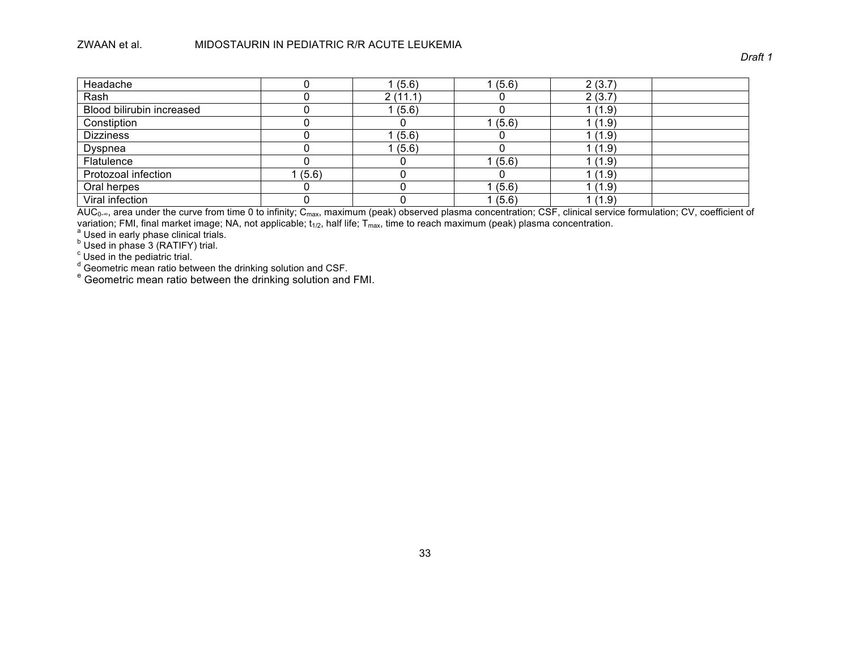| Headache                  |       | 1(5.6)  | 1(5.6) | 2(3.7) |  |
|---------------------------|-------|---------|--------|--------|--|
| Rash                      |       | 2(11.1) |        | 2(3.7) |  |
| Blood bilirubin increased |       | 1(5.6)  |        | 1(1.9) |  |
| Constiption               |       |         | 1(5.6) | 1(1.9) |  |
| <b>Dizziness</b>          |       | (5.6)   |        | (1.9)  |  |
| Dyspnea                   |       | 1(5.6)  |        | 1(1.9) |  |
| Flatulence                |       |         | 1(5.6) | 1(1.9) |  |
| Protozoal infection       | (5.6) |         |        | 1(1.9) |  |
| Oral herpes               |       |         | 1(5.6) | 1(1.9) |  |
| Viral infection           |       |         | 1(5.6) | 1(1.9) |  |

AUC $_0$ …, area under the curve from time 0 to infinity; C<sub>max</sub>, maximum (peak) observed plasma concentration; CSF, clinical service formulation; CV, coefficient of variation; FMI, final market image; NA, not applicable; t<sub>1/2</sub>, half life; T<sub>max</sub>, time to reach maximum (peak) plasma concentration.<br><sup>a</sup> Used in early phase clinical trials.<br><sup>b</sup> Used in phase 3 (RATIFY) trial.

 $\degree$  Used in the pediatric trial.

<sup>d</sup> Geometric mean ratio between the drinking solution and CSF.<br><sup>e</sup> Geometric mean ratio between the drinking solution and FMI.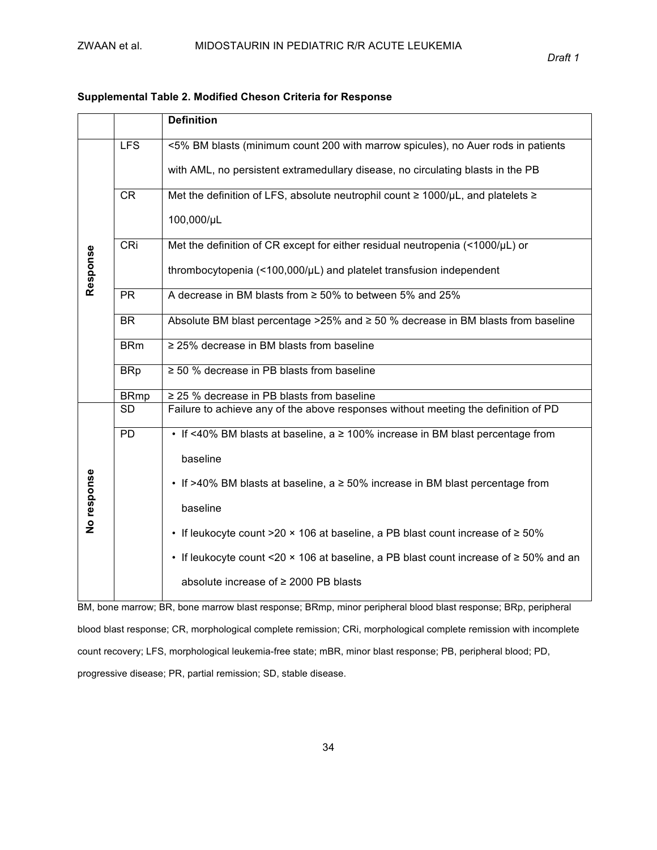|             |             | <b>Definition</b>                                                                                |  |  |  |  |  |  |  |  |
|-------------|-------------|--------------------------------------------------------------------------------------------------|--|--|--|--|--|--|--|--|
|             | <b>LFS</b>  | <5% BM blasts (minimum count 200 with marrow spicules), no Auer rods in patients                 |  |  |  |  |  |  |  |  |
|             |             | with AML, no persistent extramedullary disease, no circulating blasts in the PB                  |  |  |  |  |  |  |  |  |
|             | CR          | Met the definition of LFS, absolute neutrophil count $\geq 1000/\mu L$ , and platelets $\geq$    |  |  |  |  |  |  |  |  |
|             |             | 100,000/µL                                                                                       |  |  |  |  |  |  |  |  |
|             | CRi         | Met the definition of CR except for either residual neutropenia (<1000/µL) or                    |  |  |  |  |  |  |  |  |
| Response    |             | thrombocytopenia (<100,000/µL) and platelet transfusion independent                              |  |  |  |  |  |  |  |  |
|             | <b>PR</b>   | A decrease in BM blasts from $\geq 50\%$ to between 5% and 25%                                   |  |  |  |  |  |  |  |  |
|             | <b>BR</b>   | Absolute BM blast percentage $>25\%$ and $\geq 50\%$ decrease in BM blasts from baseline         |  |  |  |  |  |  |  |  |
|             | <b>BRm</b>  | $\geq$ 25% decrease in BM blasts from baseline                                                   |  |  |  |  |  |  |  |  |
|             | <b>BRp</b>  | $\geq$ 50 % decrease in PB blasts from baseline                                                  |  |  |  |  |  |  |  |  |
|             | <b>BRmp</b> | $\geq$ 25 % decrease in PB blasts from baseline                                                  |  |  |  |  |  |  |  |  |
|             | <b>SD</b>   | Failure to achieve any of the above responses without meeting the definition of PD               |  |  |  |  |  |  |  |  |
|             | <b>PD</b>   | • If <40% BM blasts at baseline, a ≥ 100% increase in BM blast percentage from                   |  |  |  |  |  |  |  |  |
|             |             | baseline                                                                                         |  |  |  |  |  |  |  |  |
| No response |             | • If >40% BM blasts at baseline, $a \ge 50\%$ increase in BM blast percentage from               |  |  |  |  |  |  |  |  |
|             |             | baseline                                                                                         |  |  |  |  |  |  |  |  |
|             |             | • If leukocyte count >20 $\times$ 106 at baseline, a PB blast count increase of $\geq$ 50%       |  |  |  |  |  |  |  |  |
|             |             | • If leukocyte count <20 $\times$ 106 at baseline, a PB blast count increase of $\ge$ 50% and an |  |  |  |  |  |  |  |  |
|             |             | absolute increase of ≥ 2000 PB blasts                                                            |  |  |  |  |  |  |  |  |

### **Supplemental\*Table\*2. Modified\*Cheson\*Criteria\*for\*Response**

BM, bone marrow; BR, bone marrow blast response; BRmp, minor peripheral blood blast response; BRp, peripheral blood blast response; CR, morphological complete remission; CRi, morphological complete remission with incomplete count recovery; LFS, morphological leukemia-free state; mBR, minor blast response; PB, peripheral blood; PD, progressive disease; PR, partial remission; SD, stable disease.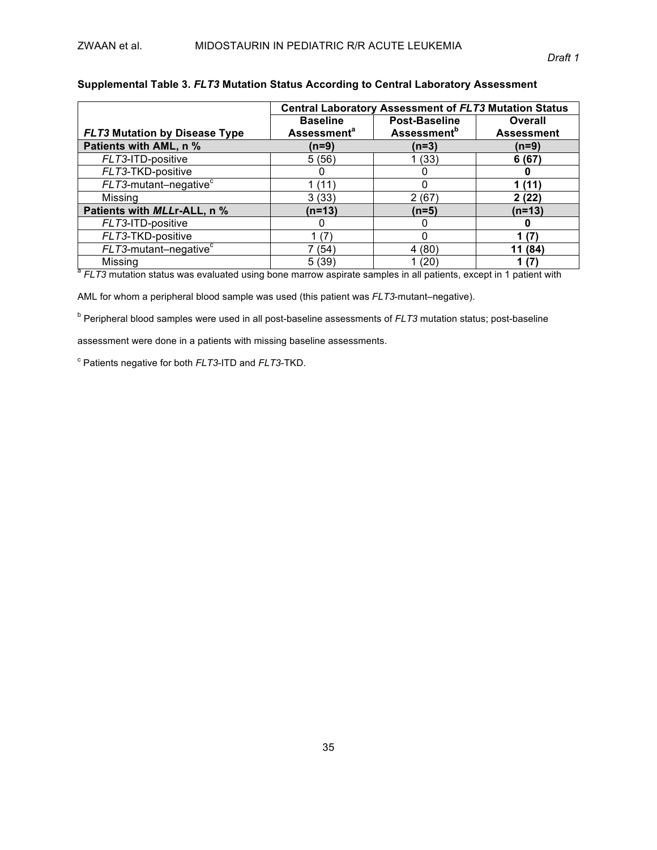|                                      | <b>Central Laboratory Assessment of FLT3 Mutation Status</b> |                                |                         |  |  |  |  |  |
|--------------------------------------|--------------------------------------------------------------|--------------------------------|-------------------------|--|--|--|--|--|
|                                      | <b>Baseline</b>                                              | <b>Post-Baseline</b>           | Overall                 |  |  |  |  |  |
| <b>FLT3 Mutation by Disease Type</b> | <b>Assessment<sup>a</sup></b>                                | <b>Assessment</b> <sup>b</sup> | <b>Assessment</b>       |  |  |  |  |  |
| Patients with AML, n %               | (n=9)                                                        | $(n=3)$                        | (n=9)                   |  |  |  |  |  |
| FLT3-ITD-positive                    | 5(56)                                                        | 1 (33)                         | 6(67)                   |  |  |  |  |  |
| FLT3-TKD-positive                    |                                                              |                                |                         |  |  |  |  |  |
| $FLT3$ -mutant-negative $c$          | 1 (11'                                                       | O                              | (11)                    |  |  |  |  |  |
| Missing                              | 3(33)                                                        | 2(67)                          | 2 (22)                  |  |  |  |  |  |
| Patients with MLLr-ALL, n %          | (n=13)                                                       | $(n=5)$                        | (n=13)                  |  |  |  |  |  |
| FLT3-ITD-positive                    | O                                                            | O                              |                         |  |  |  |  |  |
| FLT3-TKD-positive                    | (7)                                                          | O                              | (7)                     |  |  |  |  |  |
| $FLT3$ -mutant-negative $c$          | 7 (54)                                                       | 4 (80)                         | (84)<br>11 <sub>1</sub> |  |  |  |  |  |
| Missing                              | 5(39)                                                        | 1 (20)                         |                         |  |  |  |  |  |

### Supplemental Table 3. *FLT3* Mutation Status According to Central Laboratory Assessment

 $\frac{a}{b}$  FLT3 mutation status was evaluated using bone marrow aspirate samples in all patients, except in 1 patient with

AML for whom a peripheral blood sample was used (this patient was *FLT3*-mutant–negative).

<sup>b</sup> Peripheral blood samples were used in all post-baseline assessments of *FLT3* mutation status; post-baseline

assessment were done in a patients with missing baseline assessments.

<sup>c</sup> Patients negative for both *FLT3*-ITD and *FLT3*-TKD.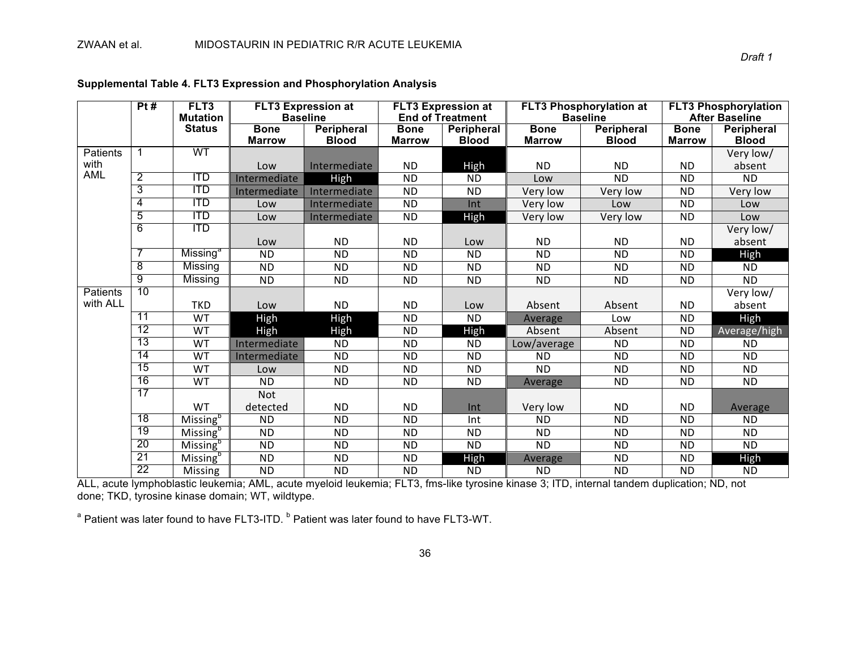|                 | Pt#             | FLT3                        | <b>FLT3 Expression at</b> |                   |                 | <b>FLT3 Expression at</b> |                 | <b>FLT3 Phosphorylation</b><br><b>FLT3 Phosphorylation at</b> |                 |                       |
|-----------------|-----------------|-----------------------------|---------------------------|-------------------|-----------------|---------------------------|-----------------|---------------------------------------------------------------|-----------------|-----------------------|
|                 |                 | <b>Mutation</b>             | <b>Baseline</b>           |                   |                 | <b>End of Treatment</b>   |                 | <b>Baseline</b>                                               |                 | <b>After Baseline</b> |
|                 |                 | <b>Status</b>               | <b>Bone</b>               | <b>Peripheral</b> | <b>Bone</b>     | Peripheral                | <b>Bone</b>     | <b>Peripheral</b>                                             | <b>Bone</b>     | <b>Peripheral</b>     |
|                 |                 |                             | <b>Marrow</b>             | <b>Blood</b>      | <b>Marrow</b>   | <b>Blood</b>              | <b>Marrow</b>   | <b>Blood</b>                                                  | <b>Marrow</b>   | <b>Blood</b>          |
| Patients        |                 | WT                          |                           |                   |                 |                           |                 |                                                               |                 | Very low/             |
| with            |                 |                             | Low                       | Intermediate      | <b>ND</b>       | High                      | <b>ND</b>       | <b>ND</b>                                                     | <b>ND</b>       | absent                |
| AML             | $\overline{2}$  | <b>ITD</b>                  | Intermediate              | High              | <b>ND</b>       | <b>ND</b>                 | Low             | $\overline{ND}$                                               | <b>ND</b>       | $\overline{ND}$       |
|                 | $\overline{3}$  | <b>ITD</b>                  | Intermediate              | Intermediate      | <b>ND</b>       | <b>ND</b>                 | Very low        | Very low                                                      | <b>ND</b>       | Very low              |
|                 | 4               | <b>ITD</b>                  | Low                       | Intermediate      | <b>ND</b>       | Int                       | Very low        | Low                                                           | <b>ND</b>       | Low                   |
|                 | $\overline{5}$  | <b>ITD</b>                  | Low                       | Intermediate      | <b>ND</b>       | High                      | Very low        | Very low                                                      | <b>ND</b>       | Low                   |
|                 | 6               | $\overline{\mathsf{ITD}}$   |                           |                   |                 |                           |                 |                                                               |                 | Very low/             |
|                 |                 |                             | Low                       | <b>ND</b>         | <b>ND</b>       | Low                       | <b>ND</b>       | <b>ND</b>                                                     | <b>ND</b>       | absent                |
|                 |                 | Missing                     | $\overline{ND}$           | $\overline{ND}$   | $\overline{ND}$ | $\overline{ND}$           | $\overline{ND}$ | $\overline{ND}$                                               | $\overline{ND}$ | High                  |
|                 | $\overline{8}$  | <b>Missing</b>              | <b>ND</b>                 | <b>ND</b>         | <b>ND</b>       | <b>ND</b>                 | <b>ND</b>       | <b>ND</b>                                                     | <b>ND</b>       | <b>ND</b>             |
|                 | 9               | <b>Missing</b>              | $\overline{ND}$           | <b>ND</b>         | <b>ND</b>       | <b>ND</b>                 | <b>ND</b>       | <b>ND</b>                                                     | $\overline{ND}$ | <b>ND</b>             |
| <b>Patients</b> | 10              |                             |                           |                   |                 |                           |                 |                                                               |                 | Very low/             |
| with ALL        |                 | <b>TKD</b>                  | Low                       | <b>ND</b>         | <b>ND</b>       | Low                       | Absent          | Absent                                                        | <b>ND</b>       | absent                |
|                 | $\overline{11}$ | <b>WT</b>                   | High                      | <b>High</b>       | <b>ND</b>       | <b>ND</b>                 | Average         | Low                                                           | <b>ND</b>       | High                  |
|                 | 12              | WT                          | High                      | <b>High</b>       | <b>ND</b>       | High                      | Absent          | Absent                                                        | $\overline{ND}$ | Average/high          |
|                 | 13              | <b>WT</b>                   | Intermediate              | <b>ND</b>         | <b>ND</b>       | <b>ND</b>                 | Low/average     | <b>ND</b>                                                     | <b>ND</b>       | <b>ND</b>             |
|                 | $\overline{14}$ | WT                          | Intermediate              | <b>ND</b>         | <b>ND</b>       | <b>ND</b>                 | <b>ND</b>       | <b>ND</b>                                                     | <b>ND</b>       | <b>ND</b>             |
|                 | 15              | <b>WT</b>                   | Low                       | <b>ND</b>         | <b>ND</b>       | <b>ND</b>                 | <b>ND</b>       | <b>ND</b>                                                     | <b>ND</b>       | <b>ND</b>             |
|                 | 16              | <b>WT</b>                   | <b>ND</b>                 | <b>ND</b>         | <b>ND</b>       | <b>ND</b>                 | Average         | <b>ND</b>                                                     | <b>ND</b>       | <b>ND</b>             |
|                 | 17              |                             | <b>Not</b>                |                   |                 |                           |                 |                                                               |                 |                       |
|                 |                 | WT                          | detected                  | <b>ND</b>         | <b>ND</b>       | Int                       | Very low        | <b>ND</b>                                                     | <b>ND</b>       | Average               |
|                 | $\overline{18}$ | Missing <sup>b</sup>        | <b>ND</b>                 | <b>ND</b>         | <b>ND</b>       | Int                       | <b>ND</b>       | <b>ND</b>                                                     | <b>ND</b>       | <b>ND</b>             |
|                 | 19              | <b>Missing</b> <sup>b</sup> | $\overline{ND}$           | <b>ND</b>         | <b>ND</b>       | <b>ND</b>                 | <b>ND</b>       | <b>ND</b>                                                     | <b>ND</b>       | <b>ND</b>             |
|                 | 20              | Missing <sup>b</sup>        | <b>ND</b>                 | <b>ND</b>         | <b>ND</b>       | <b>ND</b>                 | <b>ND</b>       | <b>ND</b>                                                     | <b>ND</b>       | <b>ND</b>             |
|                 | $\overline{21}$ | Missing <sup>b</sup>        | <b>ND</b>                 | <b>ND</b>         | <b>ND</b>       | High                      | Average         | <b>ND</b>                                                     | <b>ND</b>       | High                  |
|                 | 22              | Missing                     | <b>ND</b>                 | <b>ND</b>         | <b>ND</b>       | <b>ND</b>                 | <b>ND</b>       | <b>ND</b>                                                     | <b>ND</b>       | <b>ND</b>             |

### Supplemental Table 4. FLT3 Expression and Phosphorylation Analysis

ALL, acute lymphoblastic leukemia; AML, acute myeloid leukemia; FLT3, fms-like tyrosine kinase 3; ITD, internal tandem duplication; ND, not done; TKD, tyrosine kinase domain; WT, wildtype.

 $a$  Patient was later found to have FLT3-ITD.  $b$  Patient was later found to have FLT3-WT.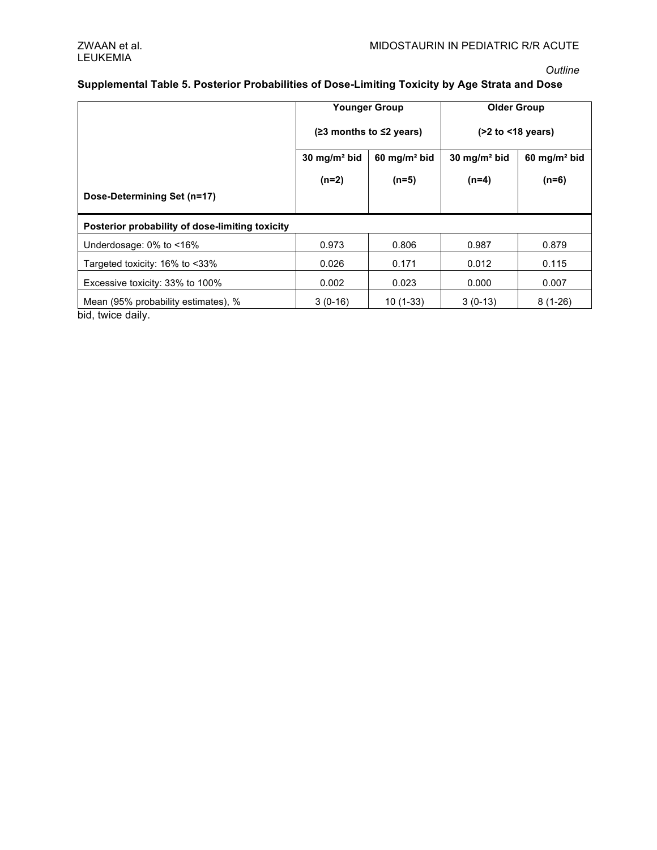### *Outline*

### Supplemental Table 5. Posterior Probabilities of Dose-Limiting Toxicity by Age Strata and Dose

|                                                 | <b>Younger Group</b><br>$(23$ months to $\leq$ years) |                                                     | <b>Older Group</b><br>$($ >2 to $\leq$ 18 years) |                            |
|-------------------------------------------------|-------------------------------------------------------|-----------------------------------------------------|--------------------------------------------------|----------------------------|
|                                                 |                                                       |                                                     |                                                  |                            |
|                                                 | 30 mg/m <sup>2</sup> bid                              | 30 mg/m <sup>2</sup> bid<br>$60 \text{ mg/m}^2$ bid |                                                  | $60$ mg/m <sup>2</sup> bid |
|                                                 | $(n=2)$                                               | $(n=5)$                                             | $(n=4)$                                          | $(n=6)$                    |
| Dose-Determining Set (n=17)                     |                                                       |                                                     |                                                  |                            |
| Posterior probability of dose-limiting toxicity |                                                       |                                                     |                                                  |                            |
| Underdosage: $0\%$ to $\leq 16\%$               | 0.973                                                 | 0.806                                               | 0.987                                            | 0.879                      |
| Targeted toxicity: 16% to <33%                  | 0.026                                                 | 0.171                                               | 0.012                                            | 0.115                      |
| Excessive toxicity: 33% to 100%                 | 0.002                                                 | 0.023                                               | 0.000                                            | 0.007                      |
| Mean (95% probability estimates), %             | $3(0-16)$                                             | $10(1-33)$                                          | $3(0-13)$                                        | $8(1-26)$                  |

bid, twice daily.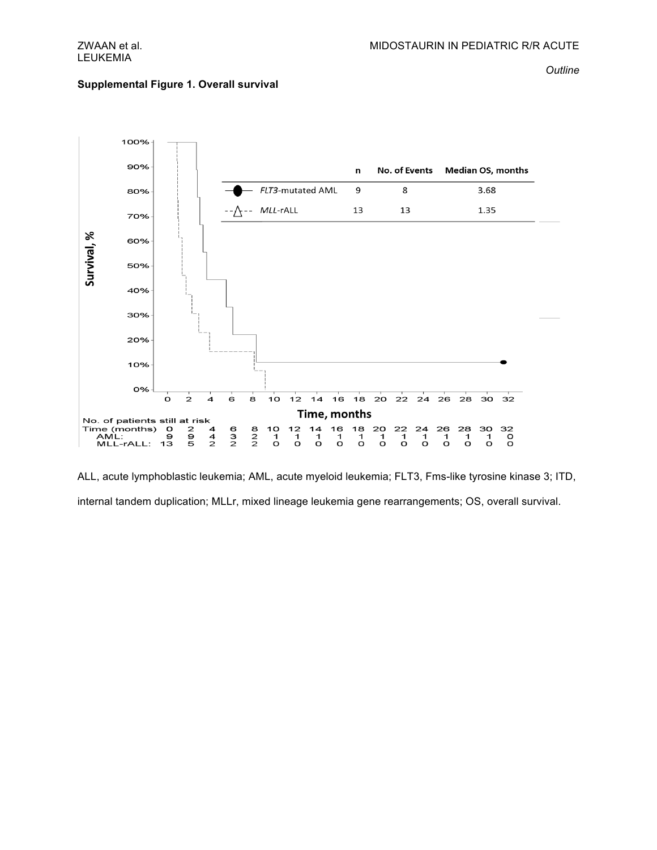### Supplemental Figure 1. Overall survival

*Outline*



ALL, acute lymphoblastic leukemia; AML, acute myeloid leukemia; FLT3, Fms-like tyrosine kinase 3; ITD, internal tandem duplication; MLLr, mixed lineage leukemia gene rearrangements; OS, overall survival.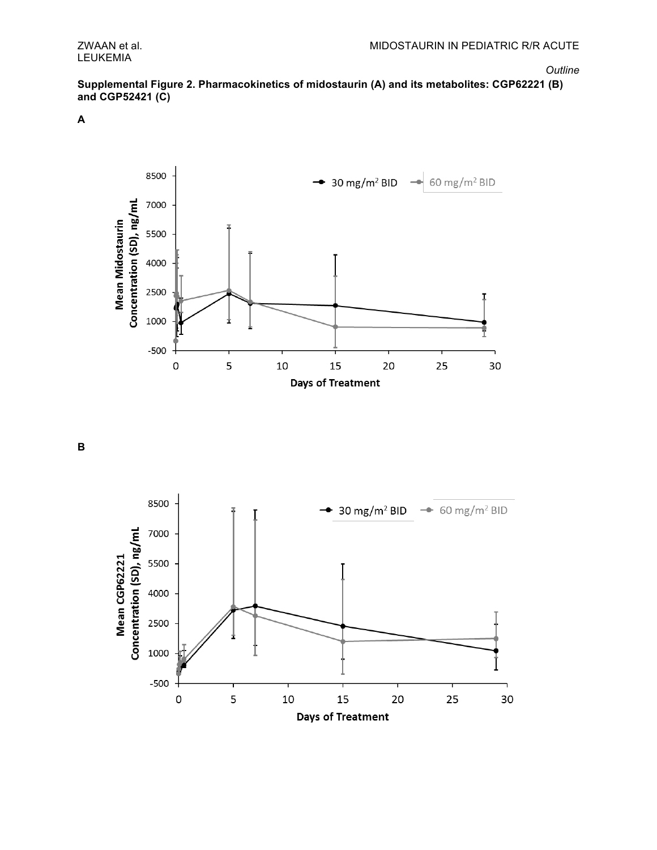Supplemental Figure 2. Pharmacokinetics of midostaurin (A) and its metabolites: CGP62221 (B) and CGP52421 (C)

**A**